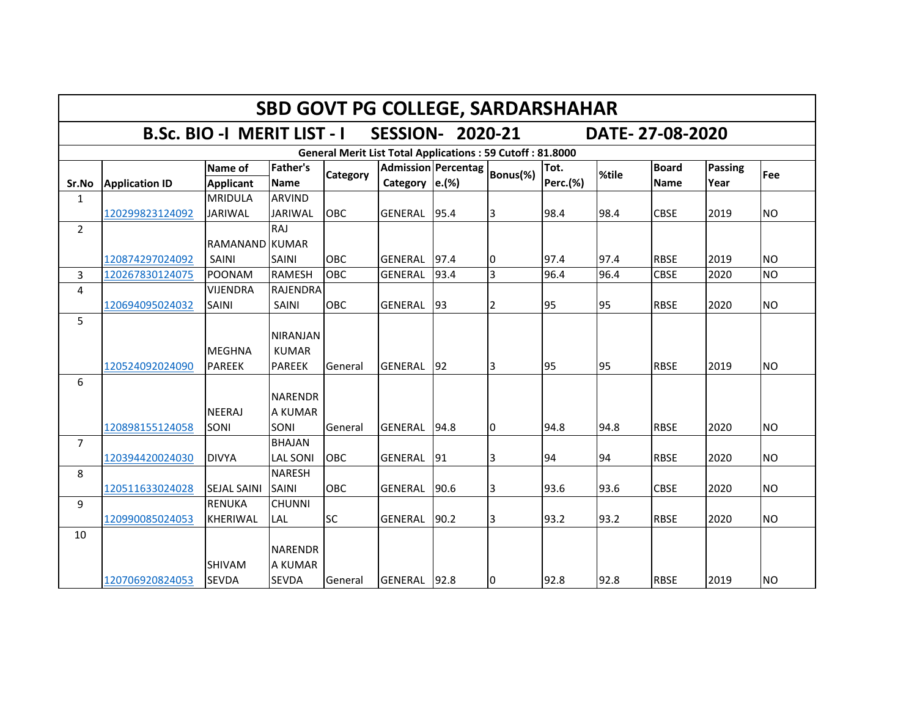| <b>SBD GOVT PG COLLEGE, SARDARSHAHAR</b> |                       |                                    |                                                  |            |                                                                  |                     |                |                         |       |                      |                 |           |  |
|------------------------------------------|-----------------------|------------------------------------|--------------------------------------------------|------------|------------------------------------------------------------------|---------------------|----------------|-------------------------|-------|----------------------|-----------------|-----------|--|
|                                          |                       | <b>B.Sc. BIO -I MERIT LIST - I</b> |                                                  |            | <b>SESSION- 2020-21</b>                                          |                     |                |                         |       | DATE-27-08-2020      |                 |           |  |
|                                          |                       |                                    |                                                  |            | <b>General Merit List Total Applications: 59 Cutoff: 81.8000</b> |                     |                |                         |       |                      |                 |           |  |
| Sr.No                                    | <b>Application ID</b> | Name of<br><b>Applicant</b>        | <b>Father's</b><br><b>Name</b>                   | Category   | Category $ e.(%)$                                                | Admission Percentag | Bonus(%)       | Tot.<br><b>Perc.(%)</b> | %tile | <b>Board</b><br>Name | Passing<br>Year | Fee       |  |
| 1                                        |                       | <b>MRIDULA</b>                     | <b>ARVIND</b>                                    |            |                                                                  |                     |                |                         |       |                      |                 |           |  |
|                                          | 120299823124092       | <b>JARIWAL</b>                     | <b>JARIWAL</b>                                   | <b>OBC</b> | GENERAL 95.4                                                     |                     | 3              | 98.4                    | 98.4  | <b>CBSE</b>          | 2019            | <b>NO</b> |  |
| $\overline{2}$                           |                       |                                    | <b>RAJ</b>                                       |            |                                                                  |                     |                |                         |       |                      |                 |           |  |
|                                          |                       | RAMANAND KUMAR                     |                                                  |            |                                                                  |                     |                |                         |       |                      |                 |           |  |
|                                          | 120874297024092       | SAINI                              | SAINI                                            | OBC        | <b>GENERAL</b>                                                   | 97.4                | 10             | 97.4                    | 97.4  | <b>RBSE</b>          | 2019            | <b>NO</b> |  |
| 3                                        | 120267830124075       | <b>POONAM</b>                      | <b>RAMESH</b>                                    | OBC        | <b>GENERAL</b>                                                   | 93.4                | $\overline{3}$ | 96.4                    | 96.4  | <b>CBSE</b>          | 2020            | <b>NO</b> |  |
| 4                                        |                       | <b>VIJENDRA</b>                    | <b>RAJENDRA</b>                                  |            |                                                                  |                     |                |                         |       |                      |                 |           |  |
|                                          | 120694095024032       | <b>SAINI</b>                       | SAINI                                            | OBC        | GENERAL                                                          | 93                  | 2              | 95                      | 95    | <b>RBSE</b>          | 2020            | <b>NO</b> |  |
| 5                                        | 120524092024090       | <b>MEGHNA</b><br><b>PAREEK</b>     | <b>NIRANJAN</b><br><b>KUMAR</b><br><b>PAREEK</b> | General    | GENERAL                                                          | 92                  | 3              | 95                      | 95    | <b>RBSE</b>          | 2019            | <b>NO</b> |  |
| 6                                        | 120898155124058       | <b>NEERAJ</b><br><b>SONI</b>       | <b>NARENDR</b><br>A KUMAR<br>SONI                | General    | GENERAL                                                          | 94.8                | l0             | 94.8                    | 94.8  | <b>RBSE</b>          | 2020            | <b>NO</b> |  |
| $\overline{7}$                           |                       |                                    | <b>BHAJAN</b>                                    |            |                                                                  |                     |                |                         |       |                      |                 |           |  |
|                                          | 120394420024030       | <b>DIVYA</b>                       | <b>LAL SONI</b>                                  | OBC        | GENERAL                                                          | 91                  | 3              | 94                      | 94    | <b>RBSE</b>          | 2020            | <b>NO</b> |  |
| 8                                        | 120511633024028       | <b>SEJAL SAINI</b>                 | <b>NARESH</b><br><b>SAINI</b>                    | <b>OBC</b> | GENERAL                                                          | 90.6                | 3              | 93.6                    | 93.6  | <b>CBSE</b>          | 2020            | <b>NO</b> |  |
| 9                                        | 120990085024053       | <b>RENUKA</b><br><b>KHERIWAL</b>   | <b>CHUNNI</b><br>LAL                             | <b>SC</b>  | GENERAL                                                          | 90.2                | 3              | 93.2                    | 93.2  | <b>RBSE</b>          | 2020            | <b>NO</b> |  |
| 10                                       | 120706920824053       | <b>SHIVAM</b><br><b>SEVDA</b>      | <b>NARENDR</b><br><b>A KUMAR</b><br><b>SEVDA</b> | General    | GENERAL 92.8                                                     |                     | 10             | 92.8                    | 92.8  | <b>RBSE</b>          | 2019            | <b>NO</b> |  |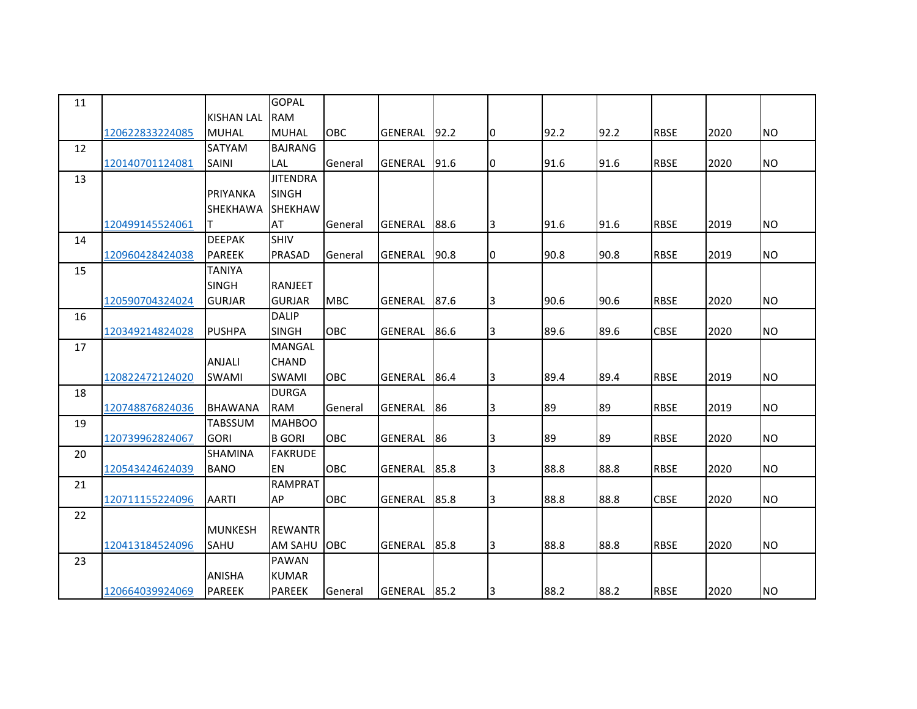| 11 |                 |                   | <b>GOPAL</b>    |            |                |      |                |      |      |             |      |           |
|----|-----------------|-------------------|-----------------|------------|----------------|------|----------------|------|------|-------------|------|-----------|
|    |                 | <b>KISHAN LAL</b> | <b>RAM</b>      |            |                |      |                |      |      |             |      |           |
|    | 120622833224085 | <b>MUHAL</b>      | <b>MUHAL</b>    | OBC        | <b>GENERAL</b> | 92.2 | Iо             | 92.2 | 92.2 | <b>RBSE</b> | 2020 | <b>NO</b> |
| 12 |                 | <b>SATYAM</b>     | <b>BAJRANG</b>  |            |                |      |                |      |      |             |      |           |
|    | 120140701124081 | <b>SAINI</b>      | LAL             | General    | GENERAL        | 91.6 | 10             | 91.6 | 91.6 | <b>RBSE</b> | 2020 | <b>NO</b> |
| 13 |                 |                   | <b>JITENDRA</b> |            |                |      |                |      |      |             |      |           |
|    |                 | PRIYANKA          | <b>SINGH</b>    |            |                |      |                |      |      |             |      |           |
|    |                 | <b>SHEKHAWA</b>   | SHEKHAW         |            |                |      |                |      |      |             |      |           |
|    | 120499145524061 | T                 | AT              | General    | <b>GENERAL</b> | 88.6 | 3              | 91.6 | 91.6 | <b>RBSE</b> | 2019 | <b>NO</b> |
| 14 |                 | <b>DEEPAK</b>     | SHIV            |            |                |      |                |      |      |             |      |           |
|    | 120960428424038 | <b>PAREEK</b>     | <b>PRASAD</b>   | General    | <b>GENERAL</b> | 90.8 | Iо             | 90.8 | 90.8 | <b>RBSE</b> | 2019 | <b>NO</b> |
| 15 |                 | <b>TANIYA</b>     |                 |            |                |      |                |      |      |             |      |           |
|    |                 | <b>SINGH</b>      | <b>RANJEET</b>  |            |                |      |                |      |      |             |      |           |
|    | 120590704324024 | <b>GURJAR</b>     | <b>GURJAR</b>   | <b>MBC</b> | <b>GENERAL</b> | 87.6 | 3              | 90.6 | 90.6 | <b>RBSE</b> | 2020 | <b>NO</b> |
| 16 |                 |                   | <b>DALIP</b>    |            |                |      |                |      |      |             |      |           |
|    | 120349214824028 | <b>PUSHPA</b>     | <b>SINGH</b>    | OBC        | GENERAL        | 86.6 | $\overline{3}$ | 89.6 | 89.6 | <b>CBSE</b> | 2020 | <b>NO</b> |
| 17 |                 |                   | <b>MANGAL</b>   |            |                |      |                |      |      |             |      |           |
|    |                 | <b>ANJALI</b>     | CHAND           |            |                |      |                |      |      |             |      |           |
|    | 120822472124020 | <b>SWAMI</b>      | SWAMI           | OBC        | <b>GENERAL</b> | 86.4 | Iз             | 89.4 | 89.4 | <b>RBSE</b> | 2019 | <b>NO</b> |
| 18 |                 |                   | <b>DURGA</b>    |            |                |      |                |      |      |             |      |           |
|    | 120748876824036 | <b>BHAWANA</b>    | <b>RAM</b>      | General    | <b>GENERAL</b> | 86   | 3              | 89   | 89   | <b>RBSE</b> | 2019 | <b>NO</b> |
| 19 |                 | <b>TABSSUM</b>    | <b>MAHBOO</b>   |            |                |      |                |      |      |             |      |           |
|    | 120739962824067 | <b>GORI</b>       | <b>B</b> GORI   | OBC        | GENERAL        | 86   | 3              | 89   | 89   | <b>RBSE</b> | 2020 | <b>NO</b> |
| 20 |                 | <b>SHAMINA</b>    | <b>FAKRUDE</b>  |            |                |      |                |      |      |             |      |           |
|    | 120543424624039 | <b>BANO</b>       | EN              | OBC        | <b>GENERAL</b> | 85.8 | $\overline{3}$ | 88.8 | 88.8 | <b>RBSE</b> | 2020 | <b>NO</b> |
| 21 |                 |                   | <b>RAMPRAT</b>  |            |                |      |                |      |      |             |      |           |
|    | 120711155224096 | <b>AARTI</b>      | AP              | OBC        | GENERAL        | 85.8 | $\overline{3}$ | 88.8 | 88.8 | <b>CBSE</b> | 2020 | <b>NO</b> |
| 22 |                 |                   |                 |            |                |      |                |      |      |             |      |           |
|    |                 | <b>MUNKESH</b>    | <b>REWANTR</b>  |            |                |      |                |      |      |             |      |           |
|    | 120413184524096 | <b>SAHU</b>       | AM SAHU         | <b>OBC</b> | <b>GENERAL</b> | 85.8 | Iз             | 88.8 | 88.8 | <b>RBSE</b> | 2020 | <b>NO</b> |
| 23 |                 |                   | PAWAN           |            |                |      |                |      |      |             |      |           |
|    |                 | <b>ANISHA</b>     | <b>KUMAR</b>    |            |                |      |                |      |      |             |      |           |
|    | 120664039924069 | <b>PAREEK</b>     | <b>PAREEK</b>   | General    | <b>GENERAL</b> | 85.2 | $\overline{3}$ | 88.2 | 88.2 | <b>RBSE</b> | 2020 | <b>NO</b> |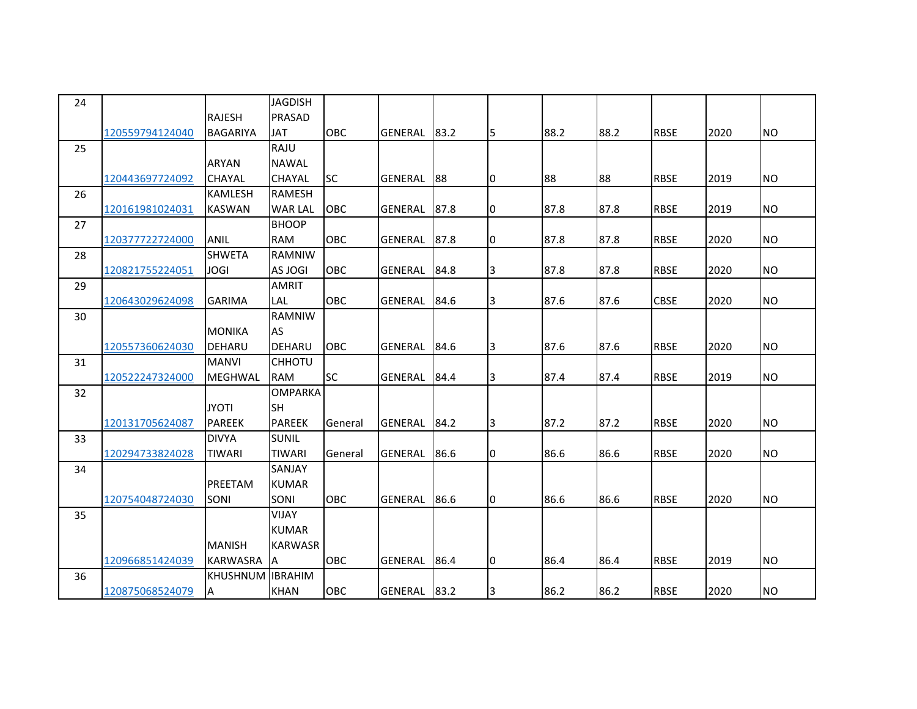| 24 |                 |                 | <b>JAGDISH</b> |            |                |      |    |      |      |             |      |           |
|----|-----------------|-----------------|----------------|------------|----------------|------|----|------|------|-------------|------|-----------|
|    |                 | <b>RAJESH</b>   | <b>PRASAD</b>  |            |                |      |    |      |      |             |      |           |
|    | 120559794124040 | <b>BAGARIYA</b> | JAT            | OBC        | <b>GENERAL</b> | 83.2 | 5  | 88.2 | 88.2 | <b>RBSE</b> | 2020 | <b>NO</b> |
| 25 |                 |                 | RAJU           |            |                |      |    |      |      |             |      |           |
|    |                 | <b>ARYAN</b>    | <b>NAWAL</b>   |            |                |      |    |      |      |             |      |           |
|    | 120443697724092 | <b>CHAYAL</b>   | <b>CHAYAL</b>  | <b>SC</b>  | GENERAL        | 88   | 0  | 88   | 88   | <b>RBSE</b> | 2019 | <b>NO</b> |
| 26 |                 | <b>KAMLESH</b>  | <b>RAMESH</b>  |            |                |      |    |      |      |             |      |           |
|    | 120161981024031 | <b>KASWAN</b>   | <b>WAR LAL</b> | OBC        | GENERAL        | 87.8 | 10 | 87.8 | 87.8 | <b>RBSE</b> | 2019 | <b>NO</b> |
| 27 |                 |                 | <b>BHOOP</b>   |            |                |      |    |      |      |             |      |           |
|    | 120377722724000 | <b>ANIL</b>     | <b>RAM</b>     | <b>OBC</b> | GENERAL        | 87.8 | 0  | 87.8 | 87.8 | <b>RBSE</b> | 2020 | <b>NO</b> |
| 28 |                 | <b>SHWETA</b>   | <b>RAMNIW</b>  |            |                |      |    |      |      |             |      |           |
|    | 120821755224051 | <b>JOGI</b>     | AS JOGI        | <b>OBC</b> | GENERAL        | 84.8 | 3  | 87.8 | 87.8 | <b>RBSE</b> | 2020 | <b>NO</b> |
| 29 |                 |                 | <b>AMRIT</b>   |            |                |      |    |      |      |             |      |           |
|    | 120643029624098 | <b>GARIMA</b>   | LAL            | OBC        | GENERAL        | 84.6 | 3  | 87.6 | 87.6 | <b>CBSE</b> | 2020 | <b>NO</b> |
| 30 |                 |                 | RAMNIW         |            |                |      |    |      |      |             |      |           |
|    |                 | <b>MONIKA</b>   | <b>AS</b>      |            |                |      |    |      |      |             |      |           |
|    | 120557360624030 | DEHARU          | DEHARU         | <b>OBC</b> | <b>GENERAL</b> | 84.6 | 3  | 87.6 | 87.6 | <b>RBSE</b> | 2020 | <b>NO</b> |
| 31 |                 | <b>MANVI</b>    | <b>CHHOTU</b>  |            |                |      |    |      |      |             |      |           |
|    | 120522247324000 | <b>MEGHWAL</b>  | <b>RAM</b>     | <b>SC</b>  | GENERAL        | 84.4 | 3  | 87.4 | 87.4 | <b>RBSE</b> | 2019 | <b>NO</b> |
| 32 |                 |                 | <b>OMPARKA</b> |            |                |      |    |      |      |             |      |           |
|    |                 | <b>JYOTI</b>    | <b>SH</b>      |            |                |      |    |      |      |             |      |           |
|    | 120131705624087 | <b>PAREEK</b>   | <b>PAREEK</b>  | General    | <b>GENERAL</b> | 84.2 | 3  | 87.2 | 87.2 | <b>RBSE</b> | 2020 | <b>NO</b> |
| 33 |                 | <b>DIVYA</b>    | <b>SUNIL</b>   |            |                |      |    |      |      |             |      |           |
|    | 120294733824028 | <b>TIWARI</b>   | <b>TIWARI</b>  | General    | GENERAL        | 86.6 | 0  | 86.6 | 86.6 | <b>RBSE</b> | 2020 | <b>NO</b> |
| 34 |                 |                 | SANJAY         |            |                |      |    |      |      |             |      |           |
|    |                 | PREETAM         | <b>KUMAR</b>   |            |                |      |    |      |      |             |      |           |
|    | 120754048724030 | SONI            | SONI           | OBC        | GENERAL        | 86.6 | I0 | 86.6 | 86.6 | <b>RBSE</b> | 2020 | <b>NO</b> |
| 35 |                 |                 | VIJAY          |            |                |      |    |      |      |             |      |           |
|    |                 |                 | <b>KUMAR</b>   |            |                |      |    |      |      |             |      |           |
|    |                 | <b>MANISH</b>   | <b>KARWASR</b> |            |                |      |    |      |      |             |      |           |
|    | 120966851424039 | <b>KARWASRA</b> | ΙA             | <b>OBC</b> | GENERAL        | 86.4 | 0  | 86.4 | 86.4 | <b>RBSE</b> | 2019 | <b>NO</b> |
| 36 |                 | <b>KHUSHNUM</b> | <b>IBRAHIM</b> |            |                |      |    |      |      |             |      |           |
|    | 120875068524079 | A               | <b>KHAN</b>    | OBC        | GENERAL        | 83.2 | 3  | 86.2 | 86.2 | <b>RBSE</b> | 2020 | <b>NO</b> |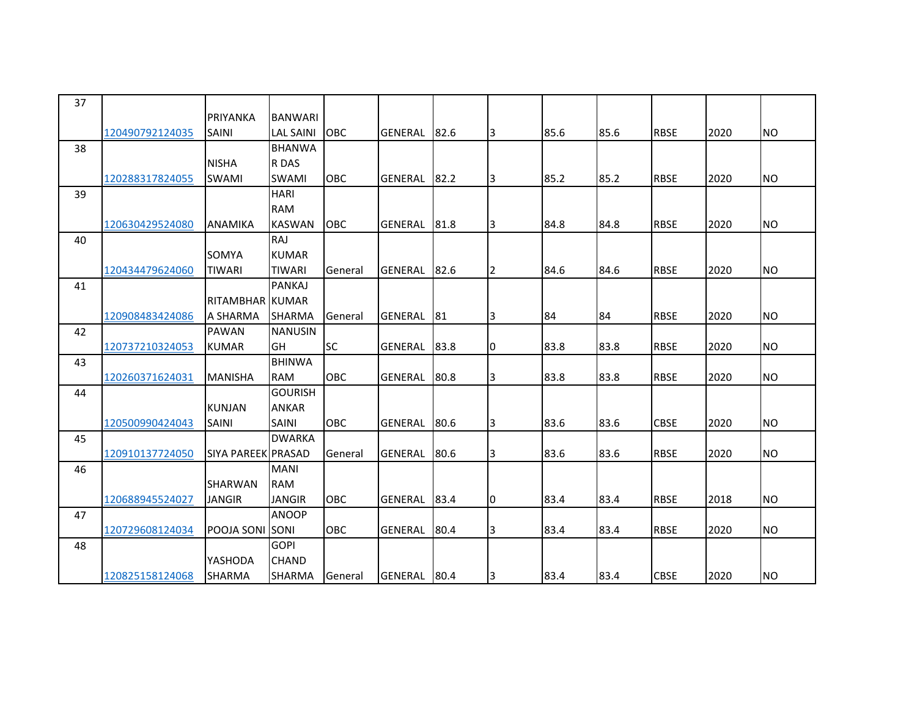| 37 |                 |                         |                  |            |                |      |    |      |      |             |      |           |
|----|-----------------|-------------------------|------------------|------------|----------------|------|----|------|------|-------------|------|-----------|
|    |                 | PRIYANKA                | <b>BANWARI</b>   |            |                |      |    |      |      |             |      |           |
|    | 120490792124035 | <b>SAINI</b>            | <b>LAL SAINI</b> | OBC        | GENERAL        | 82.6 | 3  | 85.6 | 85.6 | <b>RBSE</b> | 2020 | <b>NO</b> |
| 38 |                 |                         | <b>BHANWA</b>    |            |                |      |    |      |      |             |      |           |
|    |                 | <b>NISHA</b>            | R DAS            |            |                |      |    |      |      |             |      |           |
|    | 120288317824055 | <b>SWAMI</b>            | <b>SWAMI</b>     | OBC        | GENERAL        | 82.2 | 3  | 85.2 | 85.2 | <b>RBSE</b> | 2020 | <b>NO</b> |
| 39 |                 |                         | <b>HARI</b>      |            |                |      |    |      |      |             |      |           |
|    |                 |                         | <b>RAM</b>       |            |                |      |    |      |      |             |      |           |
|    | 120630429524080 | <b>ANAMIKA</b>          | <b>KASWAN</b>    | OBC        | GENERAL        | 81.8 | 3  | 84.8 | 84.8 | <b>RBSE</b> | 2020 | <b>NO</b> |
| 40 |                 |                         | RAJ              |            |                |      |    |      |      |             |      |           |
|    |                 | <b>SOMYA</b>            | <b>KUMAR</b>     |            |                |      |    |      |      |             |      |           |
|    | 120434479624060 | <b>TIWARI</b>           | <b>TIWARI</b>    | General    | <b>GENERAL</b> | 82.6 | 12 | 84.6 | 84.6 | <b>RBSE</b> | 2020 | <b>NO</b> |
| 41 |                 |                         | <b>PANKAJ</b>    |            |                |      |    |      |      |             |      |           |
|    |                 | RITAMBHAR KUMAR         |                  |            |                |      |    |      |      |             |      |           |
|    | 120908483424086 | A SHARMA                | <b>SHARMA</b>    | General    | GENERAL        | 81   | 3  | 84   | 84   | <b>RBSE</b> | 2020 | <b>NO</b> |
| 42 |                 | <b>PAWAN</b>            | <b>NANUSIN</b>   |            |                |      |    |      |      |             |      |           |
|    | 120737210324053 | <b>KUMAR</b>            | GH               | <b>SC</b>  | GENERAL        | 83.8 | 0  | 83.8 | 83.8 | <b>RBSE</b> | 2020 | <b>NO</b> |
| 43 |                 |                         | <b>BHINWA</b>    |            |                |      |    |      |      |             |      |           |
|    | 120260371624031 | <b>MANISHA</b>          | <b>RAM</b>       | <b>OBC</b> | <b>GENERAL</b> | 80.8 | 3  | 83.8 | 83.8 | <b>RBSE</b> | 2020 | <b>NO</b> |
| 44 |                 |                         | <b>GOURISH</b>   |            |                |      |    |      |      |             |      |           |
|    |                 | <b>KUNJAN</b>           | <b>ANKAR</b>     |            |                |      |    |      |      |             |      |           |
|    | 120500990424043 | <b>SAINI</b>            | <b>SAINI</b>     | <b>OBC</b> | <b>GENERAL</b> | 80.6 | 3  | 83.6 | 83.6 | <b>CBSE</b> | 2020 | <b>NO</b> |
| 45 |                 |                         | <b>DWARKA</b>    |            |                |      |    |      |      |             |      |           |
|    | 120910137724050 | SIYA PAREEK PRASAD      |                  | General    | <b>GENERAL</b> | 80.6 | 3  | 83.6 | 83.6 | <b>RBSE</b> | 2020 | <b>NO</b> |
| 46 |                 |                         | <b>MANI</b>      |            |                |      |    |      |      |             |      |           |
|    |                 | <b>SHARWAN</b>          | <b>RAM</b>       |            |                |      |    |      |      |             |      |           |
|    | 120688945524027 | <b>JANGIR</b>           | <b>JANGIR</b>    | <b>OBC</b> | GENERAL        | 83.4 | I0 | 83.4 | 83.4 | <b>RBSE</b> | 2018 | <b>NO</b> |
| 47 |                 |                         | <b>ANOOP</b>     |            |                |      |    |      |      |             |      |           |
|    | 120729608124034 | <b>POOJA SONI ISONI</b> |                  | OBC        | <b>GENERAL</b> | 80.4 | 3  | 83.4 | 83.4 | <b>RBSE</b> | 2020 | <b>NO</b> |
| 48 |                 |                         | <b>GOPI</b>      |            |                |      |    |      |      |             |      |           |
|    |                 | YASHODA                 | <b>CHAND</b>     |            |                |      |    |      |      |             |      |           |
|    | 120825158124068 | <b>SHARMA</b>           | <b>SHARMA</b>    | General    | <b>GENERAL</b> | 80.4 | 3  | 83.4 | 83.4 | <b>CBSE</b> | 2020 | <b>NO</b> |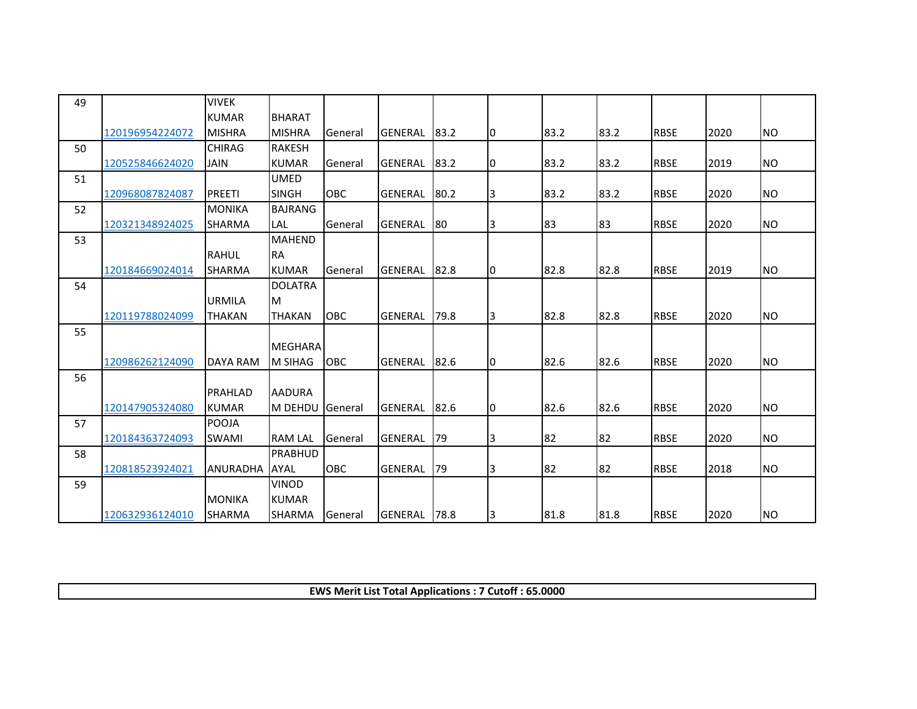| 49 |                 | <b>VIVEK</b>    |                 |            |                |      |    |      |      |             |      |           |
|----|-----------------|-----------------|-----------------|------------|----------------|------|----|------|------|-------------|------|-----------|
|    |                 | <b>KUMAR</b>    | <b>BHARAT</b>   |            |                |      |    |      |      |             |      |           |
|    | 120196954224072 | <b>MISHRA</b>   | <b>MISHRA</b>   | General    | GENERAL 83.2   |      | 10 | 83.2 | 83.2 | <b>RBSE</b> | 2020 | <b>NO</b> |
| 50 |                 | <b>CHIRAG</b>   | <b>RAKESH</b>   |            |                |      |    |      |      |             |      |           |
|    | 120525846624020 | <b>JAIN</b>     | <b>KUMAR</b>    | General    | GENERAL        | 83.2 | 10 | 83.2 | 83.2 | <b>RBSE</b> | 2019 | <b>NO</b> |
| 51 |                 |                 | <b>UMED</b>     |            |                |      |    |      |      |             |      |           |
|    | 120968087824087 | <b>PREETI</b>   | <b>SINGH</b>    | <b>OBC</b> | <b>GENERAL</b> | 80.2 | I3 | 83.2 | 83.2 | <b>RBSE</b> | 2020 | <b>NO</b> |
| 52 |                 | <b>MONIKA</b>   | <b>BAJRANG</b>  |            |                |      |    |      |      |             |      |           |
|    | 120321348924025 | SHARMA          | LAL             | General    | GENERAL        | 80   | 3  | 83   | 83   | <b>RBSE</b> | 2020 | NO        |
| 53 |                 |                 | <b>MAHEND</b>   |            |                |      |    |      |      |             |      |           |
|    |                 | <b>RAHUL</b>    | <b>RA</b>       |            |                |      |    |      |      |             |      |           |
|    | 120184669024014 | SHARMA          | <b>KUMAR</b>    | General    | GENERAL        | 82.8 | 10 | 82.8 | 82.8 | <b>RBSE</b> | 2019 | <b>NO</b> |
| 54 |                 |                 | <b>DOLATRA</b>  |            |                |      |    |      |      |             |      |           |
|    |                 | <b>URMILA</b>   | M               |            |                |      |    |      |      |             |      |           |
|    | 120119788024099 | <b>THAKAN</b>   | <b>THAKAN</b>   | OBC        | <b>GENERAL</b> | 79.8 | 3  | 82.8 | 82.8 | <b>RBSE</b> | 2020 | <b>NO</b> |
| 55 |                 |                 |                 |            |                |      |    |      |      |             |      |           |
|    |                 |                 | <b>MEGHARA</b>  |            |                |      |    |      |      |             |      |           |
|    | 120986262124090 | <b>DAYA RAM</b> | <b>M SIHAG</b>  | <b>OBC</b> | GENERAL        | 82.6 | 10 | 82.6 | 82.6 | <b>RBSE</b> | 2020 | <b>NO</b> |
| 56 |                 |                 |                 |            |                |      |    |      |      |             |      |           |
|    |                 | PRAHLAD         | <b>AADURA</b>   |            |                |      |    |      |      |             |      |           |
|    | 120147905324080 | <b>KUMAR</b>    | M DEHDU General |            | <b>GENERAL</b> | 82.6 | Iо | 82.6 | 82.6 | <b>RBSE</b> | 2020 | <b>NO</b> |
| 57 |                 | POOJA           |                 |            |                |      |    |      |      |             |      |           |
|    | 120184363724093 | <b>SWAMI</b>    | <b>RAM LAL</b>  | General    | <b>GENERAL</b> | 79   | 3  | 82   | 82   | <b>RBSE</b> | 2020 | <b>NO</b> |
| 58 |                 |                 | PRABHUD         |            |                |      |    |      |      |             |      |           |
|    | 120818523924021 | <b>ANURADHA</b> | AYAL            | OBC        | <b>GENERAL</b> | 79   | 3  | 82   | 82   | <b>RBSE</b> | 2018 | <b>NO</b> |
| 59 |                 |                 | <b>VINOD</b>    |            |                |      |    |      |      |             |      |           |
|    |                 | <b>MONIKA</b>   | <b>KUMAR</b>    |            |                |      |    |      |      |             |      |           |
|    | 120632936124010 | <b>SHARMA</b>   | <b>SHARMA</b>   | General    | <b>GENERAL</b> | 78.8 | 3  | 81.8 | 81.8 | <b>RBSE</b> | 2020 | <b>NO</b> |

**EWS Merit List Total Applications : 7 Cutoff : 65.0000**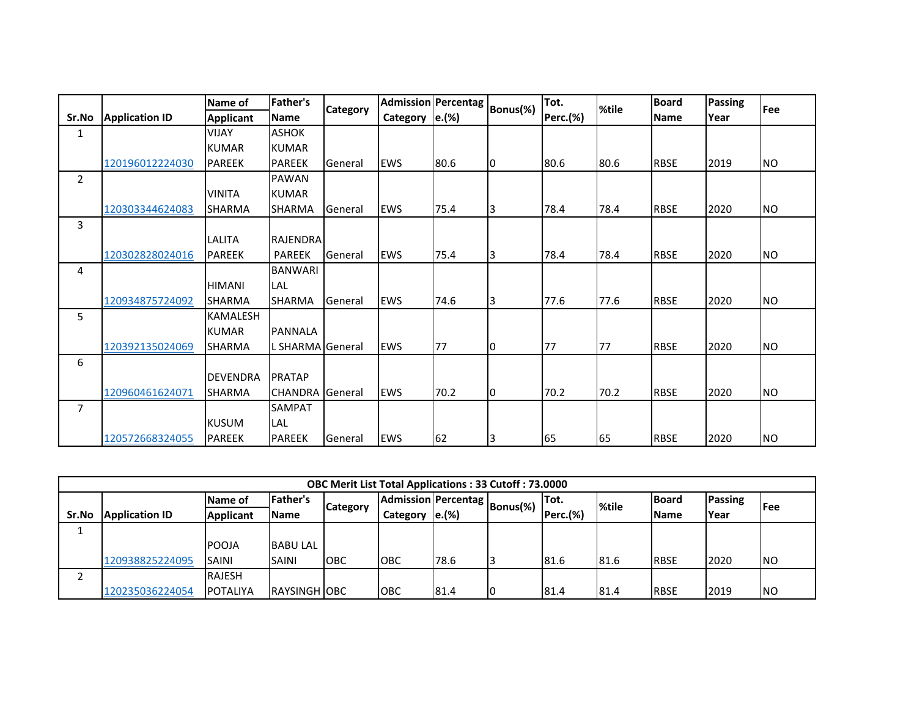|                |                       | Name of          | <b>Father's</b>  | <b>Category</b> |                  | <b>Admission Percentag</b> | Bonus(%)       | Tot.            | %tile | <b>Board</b> | <b>Passing</b> | Fee            |
|----------------|-----------------------|------------------|------------------|-----------------|------------------|----------------------------|----------------|-----------------|-------|--------------|----------------|----------------|
| Sr.No          | <b>Application ID</b> | <b>Applicant</b> | <b>Name</b>      |                 | Category   e.(%) |                            |                | <b>Perc.(%)</b> |       | <b>Name</b>  | Year           |                |
| $\mathbf{1}$   |                       | <b>VIJAY</b>     | <b>ASHOK</b>     |                 |                  |                            |                |                 |       |              |                |                |
|                |                       | <b>KUMAR</b>     | <b>KUMAR</b>     |                 |                  |                            |                |                 |       |              |                |                |
|                | 120196012224030       | <b>PAREEK</b>    | <b>PAREEK</b>    | General         | <b>EWS</b>       | 80.6                       | Iо             | 80.6            | 80.6  | <b>RBSE</b>  | 2019           | NO             |
| $\overline{2}$ |                       |                  | <b>PAWAN</b>     |                 |                  |                            |                |                 |       |              |                |                |
|                |                       | <b>VINITA</b>    | <b>KUMAR</b>     |                 |                  |                            |                |                 |       |              |                |                |
|                | 120303344624083       | <b>SHARMA</b>    | <b>SHARMA</b>    | General         | <b>EWS</b>       | 75.4                       | 13             | 78.4            | 78.4  | <b>RBSE</b>  | 2020           | NO             |
| 3              |                       |                  |                  |                 |                  |                            |                |                 |       |              |                |                |
|                |                       | LALITA           | <b>RAJENDRA</b>  |                 |                  |                            |                |                 |       |              |                |                |
|                | 120302828024016       | <b>PAREEK</b>    | <b>PAREEK</b>    | General         | <b>EWS</b>       | 75.4                       | 13             | 78.4            | 78.4  | <b>RBSE</b>  | 2020           | NO             |
| 4              |                       |                  | <b>BANWARI</b>   |                 |                  |                            |                |                 |       |              |                |                |
|                |                       | <b>HIMANI</b>    | LAL              |                 |                  |                            |                |                 |       |              |                |                |
|                | 120934875724092       | <b>SHARMA</b>    | <b>SHARMA</b>    | <b>General</b>  | <b>EWS</b>       | 74.6                       | 13             | 77.6            | 77.6  | <b>RBSE</b>  | 2020           | N <sub>O</sub> |
| 5              |                       | <b>KAMALESH</b>  |                  |                 |                  |                            |                |                 |       |              |                |                |
|                |                       | <b>KUMAR</b>     | <b>PANNALA</b>   |                 |                  |                            |                |                 |       |              |                |                |
|                | 120392135024069       | <b>SHARMA</b>    | L SHARMA General |                 | <b>EWS</b>       | 77                         | $\overline{0}$ | 77              | 77    | <b>RBSE</b>  | 2020           | NO             |
| 6              |                       |                  |                  |                 |                  |                            |                |                 |       |              |                |                |
|                |                       | <b>DEVENDRA</b>  | PRATAP           |                 |                  |                            |                |                 |       |              |                |                |
|                | 120960461624071       | SHARMA           | <b>CHANDRA</b>   | General         | <b>EWS</b>       | 70.2                       | 10             | 70.2            | 70.2  | <b>RBSE</b>  | 2020           | NO.            |
| $\overline{7}$ |                       |                  | SAMPAT           |                 |                  |                            |                |                 |       |              |                |                |
|                |                       | <b>KUSUM</b>     | LAL              |                 |                  |                            |                |                 |       |              |                |                |
|                | 120572668324055       | <b>PAREEK</b>    | <b>PAREEK</b>    | <b>General</b>  | <b>EWS</b>       | 62                         | 3              | 65              | 65    | <b>RBSE</b>  | 2020           | N <sub>O</sub> |

|       |                       |                  |                     |                                                                                                  | <b>OBC Merit List Total Applications: 33 Cutoff: 73.0000</b> |       |  |          |      |              |             |           |
|-------|-----------------------|------------------|---------------------|--------------------------------------------------------------------------------------------------|--------------------------------------------------------------|-------|--|----------|------|--------------|-------------|-----------|
|       |                       | Name of          | Father's            | Admission Percentag<br>Passing<br><b>Board</b><br>ITot.<br>Bonus(%)<br>%tile<br>lFee<br>Category |                                                              |       |  |          |      |              |             |           |
| Sr.No | <b>Application ID</b> | <b>Applicant</b> | <b>IName</b>        |                                                                                                  | Category                                                     | e.(%) |  | Perc.(%) |      | <b>Name</b>  | <b>Year</b> |           |
|       |                       |                  |                     |                                                                                                  |                                                              |       |  |          |      |              |             |           |
|       |                       | <b>POOJA</b>     | <b>BABU LAL</b>     |                                                                                                  |                                                              |       |  |          |      |              |             |           |
|       | 120938825224095       | <b>SAINI</b>     | <b>SAINI</b>        | <b>OBC</b>                                                                                       | OBC                                                          | 78.6  |  | 81.6     | 81.6 | <b>IRBSE</b> | 2020        | INO       |
|       |                       | <b>RAJESH</b>    |                     |                                                                                                  |                                                              |       |  |          |      |              |             |           |
|       | 120235036224054       | <b>POTALIYA</b>  | <b>RAYSINGH OBC</b> |                                                                                                  | <b>OBC</b>                                                   | 81.4  |  | 81.4     | 81.4 | <b>IRBSE</b> | 2019        | <b>NO</b> |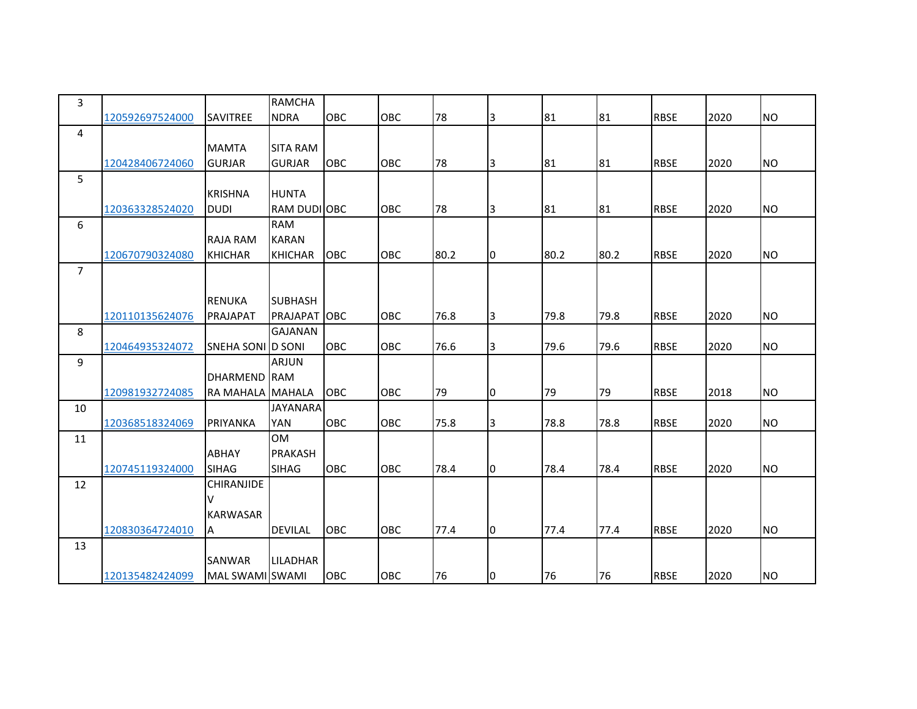| 3              |                 |                   | <b>RAMCHA</b>       |            |     |      |                |      |      |             |      |           |
|----------------|-----------------|-------------------|---------------------|------------|-----|------|----------------|------|------|-------------|------|-----------|
|                | 120592697524000 | <b>SAVITREE</b>   | <b>NDRA</b>         | <b>OBC</b> | OBC | 78   | 3              | 81   | 81   | <b>RBSE</b> | 2020 | <b>NO</b> |
| 4              |                 |                   |                     |            |     |      |                |      |      |             |      |           |
|                |                 | <b>MAMTA</b>      | <b>SITA RAM</b>     |            |     |      |                |      |      |             |      |           |
|                | 120428406724060 | <b>GURJAR</b>     | <b>GURJAR</b>       | <b>OBC</b> | OBC | 78   | Iз             | 81   | 81   | <b>RBSE</b> | 2020 | <b>NO</b> |
| 5              |                 |                   |                     |            |     |      |                |      |      |             |      |           |
|                |                 | <b>KRISHNA</b>    | <b>HUNTA</b>        |            |     |      |                |      |      |             |      |           |
|                | 120363328524020 | <b>DUDI</b>       | <b>RAM DUDI OBC</b> |            | OBC | 78   | 3              | 81   | 81   | <b>RBSE</b> | 2020 | <b>NO</b> |
| 6              |                 |                   | <b>RAM</b>          |            |     |      |                |      |      |             |      |           |
|                |                 | <b>RAJA RAM</b>   | <b>KARAN</b>        |            |     |      |                |      |      |             |      |           |
|                | 120670790324080 | <b>KHICHAR</b>    | <b>KHICHAR</b>      | <b>OBC</b> | OBC | 80.2 | Iо             | 80.2 | 80.2 | <b>RBSE</b> | 2020 | <b>NO</b> |
| $\overline{7}$ |                 |                   |                     |            |     |      |                |      |      |             |      |           |
|                |                 |                   |                     |            |     |      |                |      |      |             |      |           |
|                |                 | <b>RENUKA</b>     | <b>SUBHASH</b>      |            |     |      |                |      |      |             |      |           |
|                | 120110135624076 | PRAJAPAT          | PRAJAPAT OBC        |            | OBC | 76.8 | $\overline{3}$ | 79.8 | 79.8 | <b>RBSE</b> | 2020 | <b>NO</b> |
| 8              |                 |                   | <b>GAJANAN</b>      |            |     |      |                |      |      |             |      |           |
|                | 120464935324072 | SNEHA SONI D SONI |                     | <b>OBC</b> | OBC | 76.6 | $\overline{3}$ | 79.6 | 79.6 | <b>RBSE</b> | 2020 | <b>NO</b> |
| 9              |                 |                   | <b>ARJUN</b>        |            |     |      |                |      |      |             |      |           |
|                |                 | DHARMEND RAM      |                     |            |     |      |                |      |      |             |      |           |
|                | 120981932724085 | RA MAHALA MAHALA  |                     | OBC        | OBC | 79   | 10             | 79   | 79   | <b>RBSE</b> | 2018 | <b>NO</b> |
| 10             |                 |                   | <b>JAYANARA</b>     |            |     |      |                |      |      |             |      |           |
|                | 120368518324069 | <b>PRIYANKA</b>   | YAN                 | OBC        | OBC | 75.8 | $\overline{3}$ | 78.8 | 78.8 | <b>RBSE</b> | 2020 | <b>NO</b> |
| 11             |                 |                   | <b>OM</b>           |            |     |      |                |      |      |             |      |           |
|                |                 | <b>ABHAY</b>      | <b>PRAKASH</b>      |            |     |      |                |      |      |             |      |           |
|                | 120745119324000 | <b>SIHAG</b>      | <b>SIHAG</b>        | <b>OBC</b> | OBC | 78.4 | Iо             | 78.4 | 78.4 | <b>RBSE</b> | 2020 | <b>NO</b> |
| 12             |                 | <b>CHIRANJIDE</b> |                     |            |     |      |                |      |      |             |      |           |
|                |                 | v                 |                     |            |     |      |                |      |      |             |      |           |
|                |                 | <b>KARWASAR</b>   |                     |            |     |      |                |      |      |             |      |           |
|                | 120830364724010 | ΙA                | <b>DEVILAL</b>      | <b>OBC</b> | OBC | 77.4 | Iо             | 77.4 | 77.4 | <b>RBSE</b> | 2020 | <b>NO</b> |
| 13             |                 |                   |                     |            |     |      |                |      |      |             |      |           |
|                |                 | <b>SANWAR</b>     | <b>LILADHAR</b>     |            |     |      |                |      |      |             |      |           |
|                | 120135482424099 | MAL SWAMI SWAMI   |                     | OBC        | OBC | 76   | $\overline{0}$ | 76   | 76   | <b>RBSE</b> | 2020 | <b>NO</b> |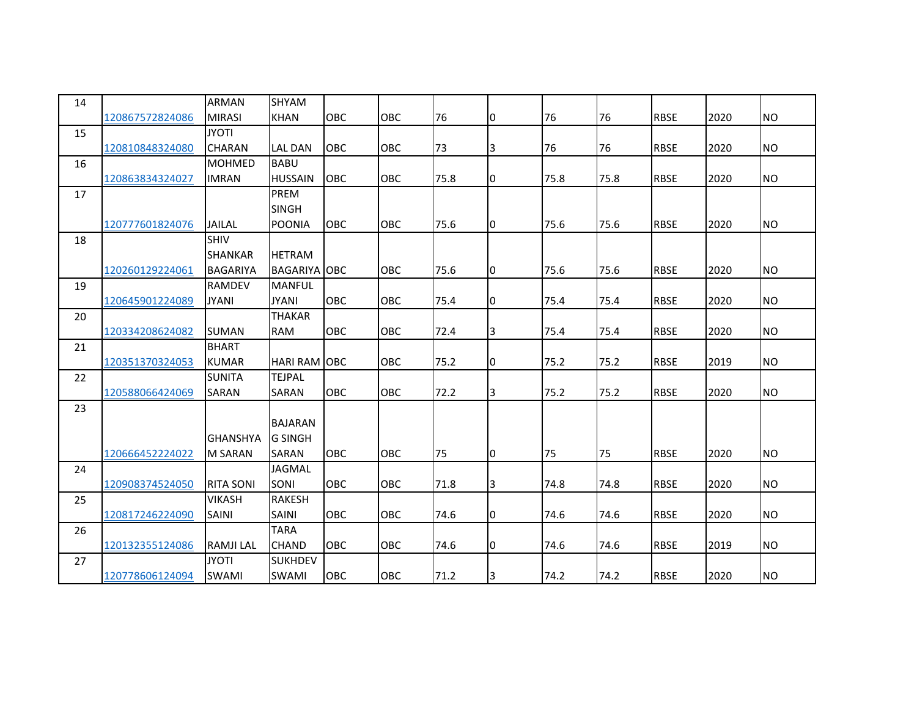| 14 |                 | ARMAN            | <b>SHYAM</b>        |            |            |      |                         |      |      |             |      |           |
|----|-----------------|------------------|---------------------|------------|------------|------|-------------------------|------|------|-------------|------|-----------|
|    | 120867572824086 | <b>MIRASI</b>    | <b>KHAN</b>         | <b>OBC</b> | OBC        | 76   | Iо                      | 76   | 76   | <b>RBSE</b> | 2020 | <b>NO</b> |
| 15 |                 | <b>ITOYL</b>     |                     |            |            |      |                         |      |      |             |      |           |
|    | 120810848324080 | CHARAN           | <b>LAL DAN</b>      | OBC        | OBC        | 73   | $\overline{\mathbf{3}}$ | 76   | 76   | <b>RBSE</b> | 2020 | <b>NO</b> |
| 16 |                 | <b>MOHMED</b>    | <b>BABU</b>         |            |            |      |                         |      |      |             |      |           |
|    | 120863834324027 | <b>IMRAN</b>     | <b>HUSSAIN</b>      | OBC        | OBC        | 75.8 | 10                      | 75.8 | 75.8 | <b>RBSE</b> | 2020 | <b>NO</b> |
| 17 |                 |                  | PREM                |            |            |      |                         |      |      |             |      |           |
|    |                 |                  | <b>SINGH</b>        |            |            |      |                         |      |      |             |      |           |
|    | 120777601824076 | JAILAL           | <b>POONIA</b>       | <b>OBC</b> | OBC        | 75.6 | 10                      | 75.6 | 75.6 | <b>RBSE</b> | 2020 | <b>NO</b> |
| 18 |                 | <b>SHIV</b>      |                     |            |            |      |                         |      |      |             |      |           |
|    |                 | SHANKAR          | <b>HETRAM</b>       |            |            |      |                         |      |      |             |      |           |
|    | 120260129224061 | <b>BAGARIYA</b>  | <b>BAGARIYA OBC</b> |            | OBC        | 75.6 | 10                      | 75.6 | 75.6 | <b>RBSE</b> | 2020 | <b>NO</b> |
| 19 |                 | RAMDEV           | <b>MANFUL</b>       |            |            |      |                         |      |      |             |      |           |
|    | 120645901224089 | <b>JYANI</b>     | <b>JYANI</b>        | <b>OBC</b> | <b>OBC</b> | 75.4 | 10                      | 75.4 | 75.4 | <b>RBSE</b> | 2020 | <b>NO</b> |
| 20 |                 |                  | <b>THAKAR</b>       |            |            |      |                         |      |      |             |      |           |
|    | 120334208624082 | <b>SUMAN</b>     | <b>RAM</b>          | OBC        | OBC        | 72.4 | 3                       | 75.4 | 75.4 | <b>RBSE</b> | 2020 | <b>NO</b> |
| 21 |                 | <b>BHART</b>     |                     |            |            |      |                         |      |      |             |      |           |
|    | 120351370324053 | <b>KUMAR</b>     | <b>HARI RAM OBC</b> |            | OBC        | 75.2 | 10                      | 75.2 | 75.2 | <b>RBSE</b> | 2019 | <b>NO</b> |
| 22 |                 | <b>SUNITA</b>    | <b>TEJPAL</b>       |            |            |      |                         |      |      |             |      |           |
|    | 120588066424069 | SARAN            | SARAN               | OBC        | OBC        | 72.2 | 3                       | 75.2 | 75.2 | <b>RBSE</b> | 2020 | <b>NO</b> |
| 23 |                 |                  |                     |            |            |      |                         |      |      |             |      |           |
|    |                 |                  | <b>BAJARAN</b>      |            |            |      |                         |      |      |             |      |           |
|    |                 | <b>GHANSHYA</b>  | <b>G SINGH</b>      |            |            |      |                         |      |      |             |      |           |
|    | 120666452224022 | M SARAN          | SARAN               | <b>OBC</b> | OBC        | 75   | 10                      | 75   | 75   | <b>RBSE</b> | 2020 | <b>NO</b> |
| 24 |                 |                  | <b>JAGMAL</b>       |            |            |      |                         |      |      |             |      |           |
|    | 120908374524050 | <b>RITA SONI</b> | SONI                | <b>OBC</b> | <b>OBC</b> | 71.8 | $\overline{3}$          | 74.8 | 74.8 | <b>RBSE</b> | 2020 | <b>NO</b> |
| 25 |                 | <b>VIKASH</b>    | <b>RAKESH</b>       |            |            |      |                         |      |      |             |      |           |
|    | 120817246224090 | SAINI            | SAINI               | <b>OBC</b> | OBC        | 74.6 | Iо                      | 74.6 | 74.6 | <b>RBSE</b> | 2020 | <b>NO</b> |
| 26 |                 |                  | <b>TARA</b>         |            |            |      |                         |      |      |             |      |           |
|    | 120132355124086 | <b>RAMJILAL</b>  | <b>CHAND</b>        | OBC        | OBC        | 74.6 | Iо                      | 74.6 | 74.6 | <b>RBSE</b> | 2019 | <b>NO</b> |
| 27 |                 | <b>JYOTI</b>     | <b>SUKHDEV</b>      |            |            |      |                         |      |      |             |      |           |
|    | 120778606124094 | <b>SWAMI</b>     | SWAMI               | OBC        | OBC        | 71.2 | 3                       | 74.2 | 74.2 | <b>RBSE</b> | 2020 | <b>NO</b> |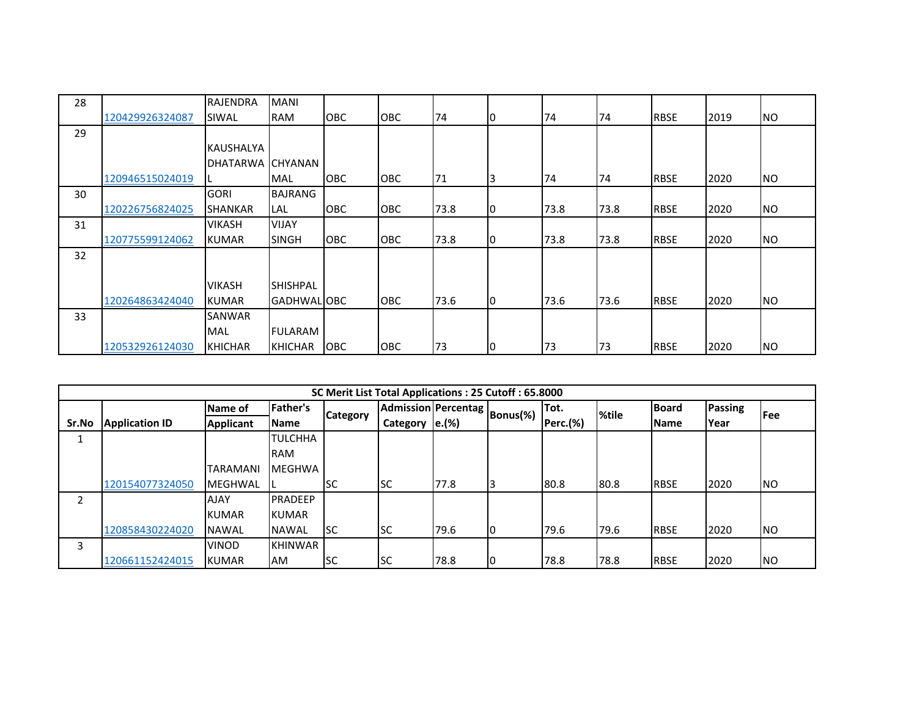| 28 |                 | RAJENDRA         | <b>MANI</b>        |            |            |      |    |      |      |             |      |            |
|----|-----------------|------------------|--------------------|------------|------------|------|----|------|------|-------------|------|------------|
|    | 120429926324087 | SIWAL            | <b>RAM</b>         | <b>OBC</b> | OBC        | 74   | 10 | 74   | 74   | <b>RBSE</b> | 2019 | <b>NO</b>  |
| 29 |                 |                  |                    |            |            |      |    |      |      |             |      |            |
|    |                 | <b>KAUSHALYA</b> |                    |            |            |      |    |      |      |             |      |            |
|    |                 | DHATARWA CHYANAN |                    |            |            |      |    |      |      |             |      |            |
|    | 120946515024019 |                  | <b>MAL</b>         | OBC        | <b>OBC</b> | 71   | I3 | 74   | 74   | <b>RBSE</b> | 2020 | <b>INO</b> |
| 30 |                 | <b>GORI</b>      | BAJRANG            |            |            |      |    |      |      |             |      |            |
|    | 120226756824025 | <b>SHANKAR</b>   | <b>LAL</b>         | OBC        | <b>OBC</b> | 73.8 | 10 | 73.8 | 73.8 | <b>RBSE</b> | 2020 | <b>NO</b>  |
| 31 |                 | <b>VIKASH</b>    | <b>VIJAY</b>       |            |            |      |    |      |      |             |      |            |
|    | 120775599124062 | <b>KUMAR</b>     | <b>SINGH</b>       | <b>OBC</b> | <b>OBC</b> | 73.8 | 10 | 73.8 | 73.8 | <b>RBSE</b> | 2020 | <b>NO</b>  |
| 32 |                 |                  |                    |            |            |      |    |      |      |             |      |            |
|    |                 |                  |                    |            |            |      |    |      |      |             |      |            |
|    |                 | <b>VIKASH</b>    | <b>SHISHPAL</b>    |            |            |      |    |      |      |             |      |            |
|    | 120264863424040 | <b>KUMAR</b>     | <b>GADHWAL OBC</b> |            | <b>OBC</b> | 73.6 | IО | 73.6 | 73.6 | <b>RBSE</b> | 2020 | <b>INO</b> |
| 33 |                 | <b>SANWAR</b>    |                    |            |            |      |    |      |      |             |      |            |
|    |                 | <b>MAL</b>       | <b>FULARAM</b>     |            |            |      |    |      |      |             |      |            |
|    | 120532926124030 | KHICHAR          | <b>KHICHAR</b>     | OBC        | OBC        | 73   | IО | 73   | 73   | <b>RBSE</b> | 2020 | <b>NO</b>  |

|       |                       |                 |                 |                 | SC Merit List Total Applications: 25 Cutoff: 65.8000 |       |          |                 |       |              |         |            |
|-------|-----------------------|-----------------|-----------------|-----------------|------------------------------------------------------|-------|----------|-----------------|-------|--------------|---------|------------|
|       |                       | Name of         | <b>Father's</b> |                 | <b>Admission Percentag</b>                           |       | Bonus(%) | Tot.            | %tile | <b>Board</b> | Passing | <b>Fee</b> |
| Sr.No | <b>Application ID</b> | Applicant       | <b>Name</b>     | <b>Category</b> | <b>Category</b>                                      | e.(%) |          | <b>Perc.(%)</b> |       | <b>Name</b>  | Year    |            |
|       |                       |                 | <b>TULCHHA</b>  |                 |                                                      |       |          |                 |       |              |         |            |
|       |                       |                 | <b>RAM</b>      |                 |                                                      |       |          |                 |       |              |         |            |
|       |                       | <b>TARAMANI</b> | <b>IMEGHWA</b>  |                 |                                                      |       |          |                 |       |              |         |            |
|       | 120154077324050       | <b>MEGHWAL</b>  |                 | <b>SC</b>       | lsc                                                  | 77.8  |          | 80.8            | 80.8  | <b>RBSE</b>  | 2020    | <b>NO</b>  |
| 2     |                       | <b>AJAY</b>     | <b>PRADEEP</b>  |                 |                                                      |       |          |                 |       |              |         |            |
|       |                       | <b>KUMAR</b>    | <b>KUMAR</b>    |                 |                                                      |       |          |                 |       |              |         |            |
|       | 120858430224020       | <b>NAWAL</b>    | <b>NAWAL</b>    | <b>ISC</b>      | lsc                                                  | 79.6  | 10       | 79.6            | 79.6  | <b>RBSE</b>  | 2020    | <b>NO</b>  |
| 3     |                       | <b>VINOD</b>    | <b>KHINWAR</b>  |                 |                                                      |       |          |                 |       |              |         |            |
|       | 120661152424015       | <b>KUMAR</b>    | <b>AM</b>       | <b>SC</b>       | lsc                                                  | 78.8  | 10       | 78.8            | 78.8  | <b>IRBSE</b> | 2020    | <b>NO</b>  |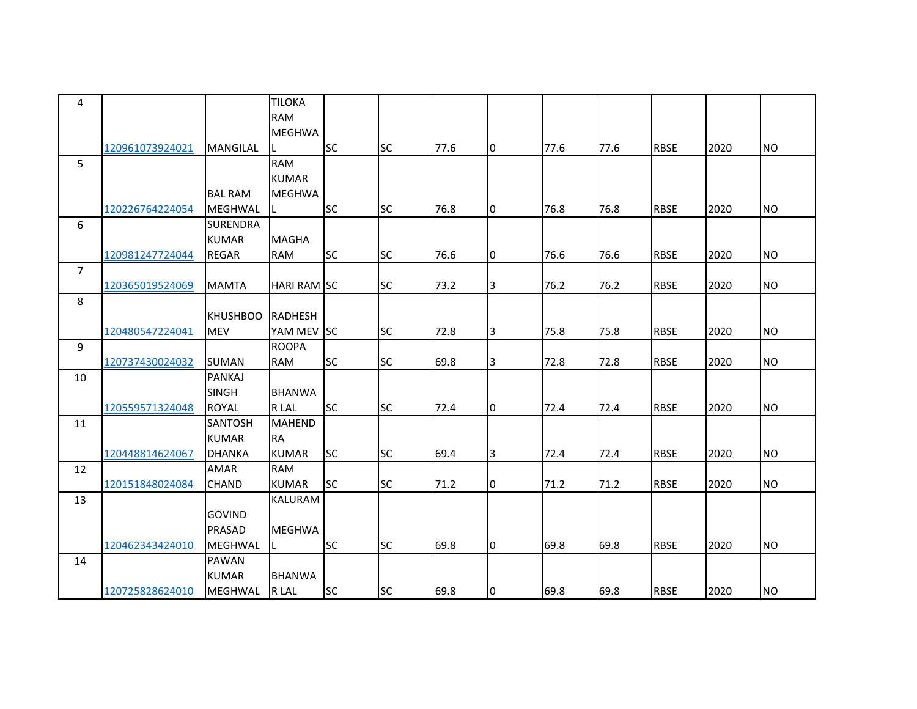| 4              |                 |                 | <b>TILOKA</b>      |           |           |      |                         |      |      |             |      |           |
|----------------|-----------------|-----------------|--------------------|-----------|-----------|------|-------------------------|------|------|-------------|------|-----------|
|                |                 |                 | <b>RAM</b>         |           |           |      |                         |      |      |             |      |           |
|                |                 |                 | <b>MEGHWA</b>      |           |           |      |                         |      |      |             |      |           |
|                | 120961073924021 | <b>MANGILAL</b> | IL.                | <b>SC</b> | <b>SC</b> | 77.6 | I0                      | 77.6 | 77.6 | <b>RBSE</b> | 2020 | <b>NO</b> |
| 5              |                 |                 | <b>RAM</b>         |           |           |      |                         |      |      |             |      |           |
|                |                 |                 | <b>KUMAR</b>       |           |           |      |                         |      |      |             |      |           |
|                |                 | <b>BAL RAM</b>  | <b>MEGHWA</b>      |           |           |      |                         |      |      |             |      |           |
|                | 120226764224054 | <b>MEGHWAL</b>  | L                  | <b>SC</b> | <b>SC</b> | 76.8 | I0                      | 76.8 | 76.8 | <b>RBSE</b> | 2020 | <b>NO</b> |
| 6              |                 | <b>SURENDRA</b> |                    |           |           |      |                         |      |      |             |      |           |
|                |                 | <b>KUMAR</b>    | <b>MAGHA</b>       |           |           |      |                         |      |      |             |      |           |
|                | 120981247724044 | <b>REGAR</b>    | <b>RAM</b>         | <b>SC</b> | <b>SC</b> | 76.6 | 0                       | 76.6 | 76.6 | <b>RBSE</b> | 2020 | <b>NO</b> |
| $\overline{7}$ |                 |                 |                    |           |           |      |                         |      |      |             |      |           |
|                | 120365019524069 | <b>MAMTA</b>    | <b>HARI RAM SC</b> |           | <b>SC</b> | 73.2 | 3                       | 76.2 | 76.2 | <b>RBSE</b> | 2020 | <b>NO</b> |
| 8              |                 |                 |                    |           |           |      |                         |      |      |             |      |           |
|                |                 | <b>KHUSHBOO</b> | <b>RADHESH</b>     |           |           |      |                         |      |      |             |      |           |
|                | 120480547224041 | <b>MEV</b>      | YAM MEV SC         |           | <b>SC</b> | 72.8 | 3                       | 75.8 | 75.8 | <b>RBSE</b> | 2020 | <b>NO</b> |
| 9              |                 |                 | <b>ROOPA</b>       |           |           |      |                         |      |      |             |      |           |
|                | 120737430024032 | <b>SUMAN</b>    | <b>RAM</b>         | <b>SC</b> | <b>SC</b> | 69.8 | $\overline{\mathbf{3}}$ | 72.8 | 72.8 | <b>RBSE</b> | 2020 | <b>NO</b> |
| 10             |                 | <b>PANKAJ</b>   |                    |           |           |      |                         |      |      |             |      |           |
|                |                 | <b>SINGH</b>    | <b>BHANWA</b>      |           |           |      |                         |      |      |             |      |           |
|                | 120559571324048 | <b>ROYAL</b>    | R LAL              | <b>SC</b> | <b>SC</b> | 72.4 | Iо                      | 72.4 | 72.4 | <b>RBSE</b> | 2020 | <b>NO</b> |
| 11             |                 | <b>SANTOSH</b>  | <b>MAHEND</b>      |           |           |      |                         |      |      |             |      |           |
|                |                 | <b>KUMAR</b>    | <b>RA</b>          |           |           |      |                         |      |      |             |      |           |
|                | 120448814624067 | <b>DHANKA</b>   | <b>KUMAR</b>       | lsc       | <b>SC</b> | 69.4 | 3                       | 72.4 | 72.4 | <b>RBSE</b> | 2020 | <b>NO</b> |
| 12             |                 | <b>AMAR</b>     | <b>RAM</b>         |           |           |      |                         |      |      |             |      |           |
|                | 120151848024084 | <b>CHAND</b>    | <b>KUMAR</b>       | <b>SC</b> | <b>SC</b> | 71.2 | 0                       | 71.2 | 71.2 | <b>RBSE</b> | 2020 | <b>NO</b> |
| 13             |                 |                 | <b>KALURAM</b>     |           |           |      |                         |      |      |             |      |           |
|                |                 | <b>GOVIND</b>   |                    |           |           |      |                         |      |      |             |      |           |
|                |                 | <b>PRASAD</b>   | <b>MEGHWA</b>      |           |           |      |                         |      |      |             |      |           |
|                | 120462343424010 | <b>MEGHWAL</b>  | IL.                | <b>SC</b> | <b>SC</b> | 69.8 | Iо                      | 69.8 | 69.8 | <b>RBSE</b> | 2020 | <b>NO</b> |
| 14             |                 | PAWAN           |                    |           |           |      |                         |      |      |             |      |           |
|                |                 | <b>KUMAR</b>    | <b>BHANWA</b>      |           |           |      |                         |      |      |             |      |           |
|                | 120725828624010 | MEGHWAL         | R LAL              | <b>SC</b> | <b>SC</b> | 69.8 | l0                      | 69.8 | 69.8 | <b>RBSE</b> | 2020 | <b>NO</b> |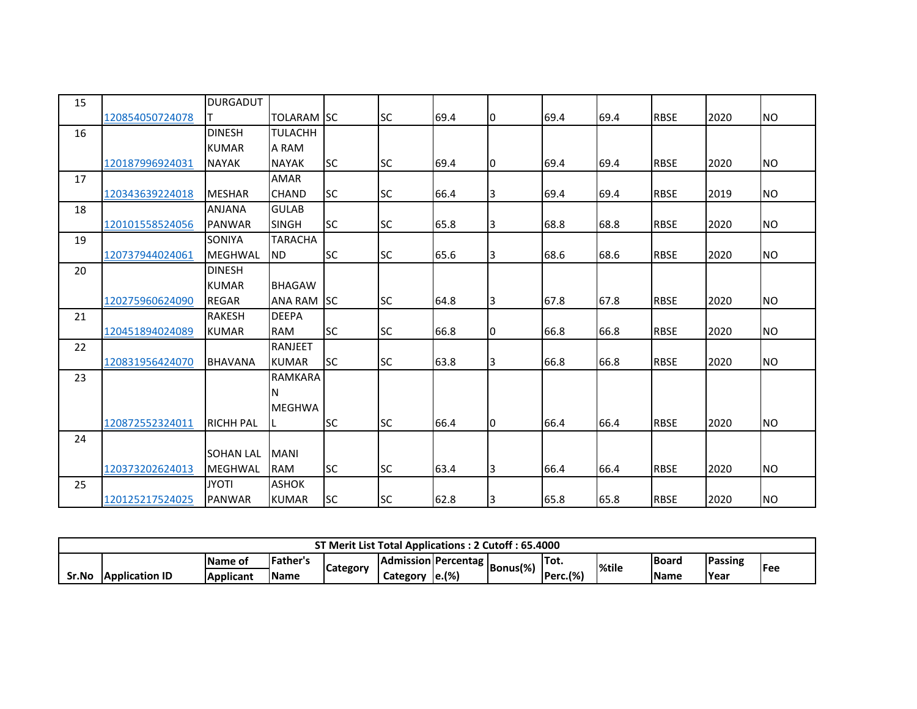| 15 |                 | <b>DURGADUT</b>  |                   |           |           |      |    |      |      |             |      |           |
|----|-----------------|------------------|-------------------|-----------|-----------|------|----|------|------|-------------|------|-----------|
|    | 120854050724078 | IT.              | <b>TOLARAM</b> SC |           | <b>SC</b> | 69.4 | 10 | 69.4 | 69.4 | <b>RBSE</b> | 2020 | <b>NO</b> |
| 16 |                 | <b>DINESH</b>    | <b>TULACHH</b>    |           |           |      |    |      |      |             |      |           |
|    |                 | <b>KUMAR</b>     | A RAM             |           |           |      |    |      |      |             |      |           |
|    | 120187996924031 | <b>NAYAK</b>     | <b>NAYAK</b>      | <b>SC</b> | <b>SC</b> | 69.4 | 10 | 69.4 | 69.4 | <b>RBSE</b> | 2020 | <b>NO</b> |
| 17 |                 |                  | AMAR              |           |           |      |    |      |      |             |      |           |
|    | 120343639224018 | <b>MESHAR</b>    | <b>CHAND</b>      | <b>SC</b> | <b>SC</b> | 66.4 | 3  | 69.4 | 69.4 | <b>RBSE</b> | 2019 | <b>NO</b> |
| 18 |                 | <b>ANJANA</b>    | <b>GULAB</b>      |           |           |      |    |      |      |             |      |           |
|    | 120101558524056 | <b>PANWAR</b>    | <b>SINGH</b>      | <b>SC</b> | <b>SC</b> | 65.8 | 3  | 68.8 | 68.8 | <b>RBSE</b> | 2020 | NO        |
| 19 |                 | SONIYA           | <b>TARACHA</b>    |           |           |      |    |      |      |             |      |           |
|    | 120737944024061 | <b>MEGHWAL</b>   | <b>ND</b>         | <b>SC</b> | <b>SC</b> | 65.6 | 3  | 68.6 | 68.6 | <b>RBSE</b> | 2020 | <b>NO</b> |
| 20 |                 | <b>DINESH</b>    |                   |           |           |      |    |      |      |             |      |           |
|    |                 | <b>KUMAR</b>     | <b>BHAGAW</b>     |           |           |      |    |      |      |             |      |           |
|    | 120275960624090 | <b>REGAR</b>     | <b>ANA RAM</b>    | <b>SC</b> | <b>SC</b> | 64.8 | Iз | 67.8 | 67.8 | <b>RBSE</b> | 2020 | <b>NO</b> |
| 21 |                 | <b>RAKESH</b>    | <b>DEEPA</b>      |           |           |      |    |      |      |             |      |           |
|    | 120451894024089 | <b>KUMAR</b>     | <b>RAM</b>        | <b>SC</b> | <b>SC</b> | 66.8 | 10 | 66.8 | 66.8 | <b>RBSE</b> | 2020 | <b>NO</b> |
| 22 |                 |                  | <b>RANJEET</b>    |           |           |      |    |      |      |             |      |           |
|    | 120831956424070 | <b>BHAVANA</b>   | <b>KUMAR</b>      | <b>SC</b> | <b>SC</b> | 63.8 | 3  | 66.8 | 66.8 | <b>RBSE</b> | 2020 | <b>NO</b> |
| 23 |                 |                  | RAMKARA           |           |           |      |    |      |      |             |      |           |
|    |                 |                  | N                 |           |           |      |    |      |      |             |      |           |
|    |                 |                  | <b>MEGHWA</b>     |           |           |      |    |      |      |             |      |           |
|    | 120872552324011 | <b>RICHH PAL</b> | L                 | <b>SC</b> | <b>SC</b> | 66.4 | Iо | 66.4 | 66.4 | <b>RBSE</b> | 2020 | <b>NO</b> |
| 24 |                 |                  |                   |           |           |      |    |      |      |             |      |           |
|    |                 | <b>SOHAN LAL</b> | <b>MANI</b>       |           |           |      |    |      |      |             |      |           |
|    | 120373202624013 | MEGHWAL          | <b>RAM</b>        | <b>SC</b> | <b>SC</b> | 63.4 | Iз | 66.4 | 66.4 | <b>RBSE</b> | 2020 | <b>NO</b> |
| 25 |                 | <b>JYOTI</b>     | <b>ASHOK</b>      |           |           |      |    |      |      |             |      |           |
|    | 120125217524025 | <b>PANWAR</b>    | <b>KUMAR</b>      | <b>SC</b> | <b>SC</b> | 62.8 | 3  | 65.8 | 65.8 | <b>RBSE</b> | 2020 | <b>NO</b> |

|       | ST Merit List Total Applications: 2 Cutoff: 65.4000                                                                                                             |           |              |  |          |                     |  |                          |  |             |              |  |  |
|-------|-----------------------------------------------------------------------------------------------------------------------------------------------------------------|-----------|--------------|--|----------|---------------------|--|--------------------------|--|-------------|--------------|--|--|
|       | Father's<br>Passing<br>'Tot.<br><b>Board</b><br><b>IName of</b><br><b>IAdmission Percentag</b><br>'  Bonus(%)<br><b>%tile</b><br><b>IFee</b><br><b>Category</b> |           |              |  |          |                     |  |                          |  |             |              |  |  |
| Sr.No | <b>Application ID</b>                                                                                                                                           | Applicant | <b>IName</b> |  | Category | $\mathsf{le}.(\% )$ |  | Perc.(%)<br><b>IDorc</b> |  | <b>Name</b> | <b>PYear</b> |  |  |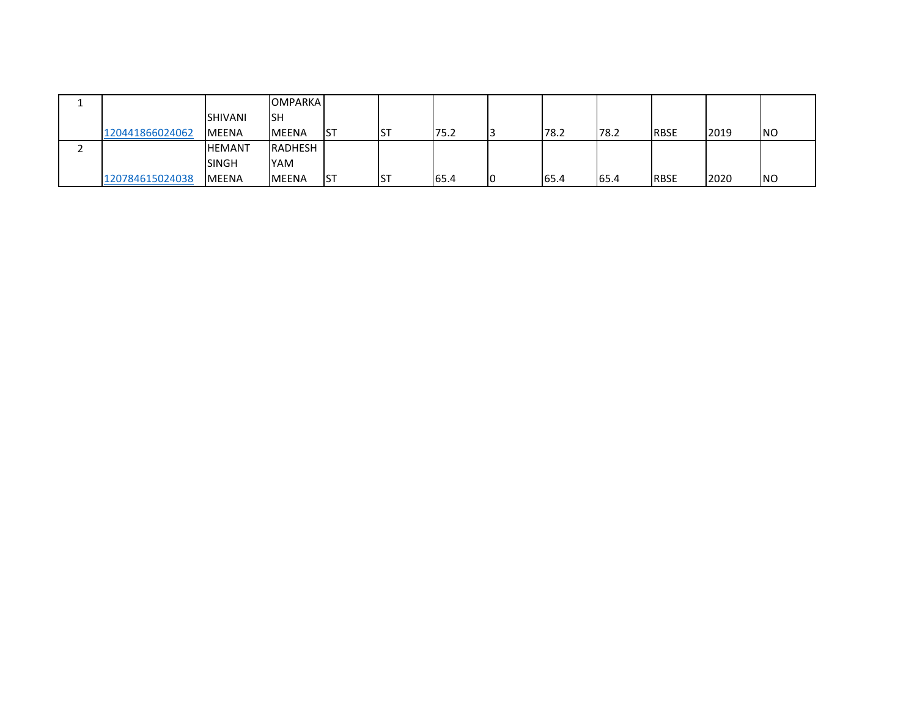|                 |                | <b>OMPARKA</b> |            |            |      |    |      |      |             |      |            |
|-----------------|----------------|----------------|------------|------------|------|----|------|------|-------------|------|------------|
|                 | <b>SHIVANI</b> | ISH            |            |            |      |    |      |      |             |      |            |
| 120441866024062 | <b>MEENA</b>   | <b>IMEENA</b>  | <b>IST</b> | <b>IST</b> | 75.2 |    | 78.2 | 78.2 | <b>RBSE</b> | 2019 | <b>INO</b> |
|                 | <b>HEMANT</b>  | RADHESH        |            |            |      |    |      |      |             |      |            |
|                 | <b>SINGH</b>   | YAM            |            |            |      |    |      |      |             |      |            |
| 120784615024038 | <b>MEENA</b>   | <b>IMEENA</b>  | Ist        | <b>IST</b> | 65.4 | IO | 65.4 | 65.4 | <b>RBSE</b> | 2020 | <b>NO</b>  |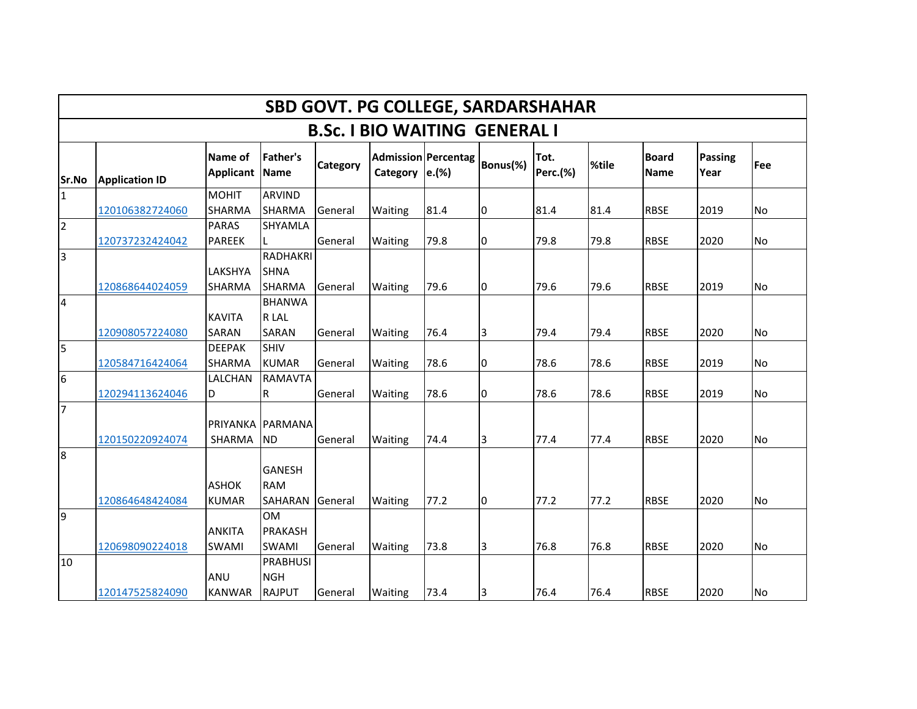|                                      | <b>SBD GOVT. PG COLLEGE, SARDARSHAHAR</b> |                              |                                                 |          |          |                                             |          |                         |       |                             |                 |            |  |  |
|--------------------------------------|-------------------------------------------|------------------------------|-------------------------------------------------|----------|----------|---------------------------------------------|----------|-------------------------|-------|-----------------------------|-----------------|------------|--|--|
| <b>B.Sc. I BIO WAITING GENERAL I</b> |                                           |                              |                                                 |          |          |                                             |          |                         |       |                             |                 |            |  |  |
| Sr.No                                | <b>Application ID</b>                     | Name of<br><b>Applicant</b>  | <b>Father's</b><br><b>Name</b>                  | Category | Category | Admission Percentag<br>$\left e\right $ (%) | Bonus(%) | Tot.<br><b>Perc.(%)</b> | %tile | <b>Board</b><br><b>Name</b> | Passing<br>Year | <b>Fee</b> |  |  |
| 1                                    |                                           | <b>MOHIT</b>                 | <b>ARVIND</b>                                   |          |          |                                             |          |                         |       |                             |                 |            |  |  |
|                                      | 120106382724060                           | SHARMA                       | <b>SHARMA</b>                                   | General  | Waiting  | 81.4                                        | 10       | 81.4                    | 81.4  | <b>RBSE</b>                 | 2019            | <b>No</b>  |  |  |
| $\sqrt{2}$                           |                                           | <b>PARAS</b>                 | <b>SHYAMLA</b>                                  |          |          |                                             |          |                         |       |                             |                 |            |  |  |
|                                      | 120737232424042                           | <b>PAREEK</b>                |                                                 | General  | Waiting  | 79.8                                        | 0        | 79.8                    | 79.8  | <b>RBSE</b>                 | 2020            | <b>No</b>  |  |  |
| $\overline{3}$                       | 120868644024059                           | LAKSHYA<br><b>SHARMA</b>     | <b>RADHAKRI</b><br><b>SHNA</b><br><b>SHARMA</b> | General  | Waiting  | 79.6                                        | I0       | 79.6                    | 79.6  | <b>RBSE</b>                 | 2019            | <b>No</b>  |  |  |
| $\overline{\mathbf{4}}$              |                                           |                              | <b>BHANWA</b>                                   |          |          |                                             |          |                         |       |                             |                 |            |  |  |
|                                      |                                           | <b>KAVITA</b>                | R LAL                                           |          |          |                                             |          |                         |       |                             |                 |            |  |  |
|                                      | 120908057224080                           | SARAN                        | <b>SARAN</b>                                    | General  | Waiting  | 76.4                                        | 3        | 79.4                    | 79.4  | <b>RBSE</b>                 | 2020            | <b>No</b>  |  |  |
| 5                                    | 120584716424064                           | <b>DEEPAK</b><br>SHARMA      | <b>SHIV</b><br><b>KUMAR</b>                     | General  | Waiting  | 78.6                                        | 0        | 78.6                    | 78.6  | <b>RBSE</b>                 | 2019            | No         |  |  |
| 6                                    | 120294113624046                           | LALCHAN<br>D                 | <b>RAMAVTA</b><br>R                             | General  | Waiting  | 78.6                                        | 0        | 78.6                    | 78.6  | <b>RBSE</b>                 | 2019            | No         |  |  |
| 7                                    |                                           |                              | PRIYANKA PARMANA                                |          |          |                                             |          |                         |       |                             |                 |            |  |  |
|                                      | 120150220924074                           | SHARMA                       | <b>ND</b>                                       | General  | Waiting  | 74.4                                        | 3        | 77.4                    | 77.4  | <b>RBSE</b>                 | 2020            | No         |  |  |
| l8                                   | 120864648424084                           | <b>ASHOK</b><br><b>KUMAR</b> | <b>GANESH</b><br><b>RAM</b><br>SAHARAN          | General  | Waiting  | 77.2                                        | 10       | 77.2                    | 77.2  | <b>RBSE</b>                 | 2020            | <b>No</b>  |  |  |
| 9                                    |                                           | <b>ANKITA</b>                | <b>OM</b><br><b>PRAKASH</b>                     |          |          |                                             |          |                         |       |                             |                 |            |  |  |
|                                      | 120698090224018                           | SWAMI                        | <b>SWAMI</b>                                    | General  | Waiting  | 73.8                                        | 3        | 76.8                    | 76.8  | <b>RBSE</b>                 | 2020            | No         |  |  |
| 10                                   |                                           | ANU                          | PRABHUSI<br><b>NGH</b>                          |          |          |                                             |          |                         |       |                             |                 |            |  |  |
|                                      | 120147525824090                           | <b>KANWAR</b>                | <b>RAJPUT</b>                                   | General  | Waiting  | 73.4                                        | 3        | 76.4                    | 76.4  | <b>RBSE</b>                 | 2020            | No         |  |  |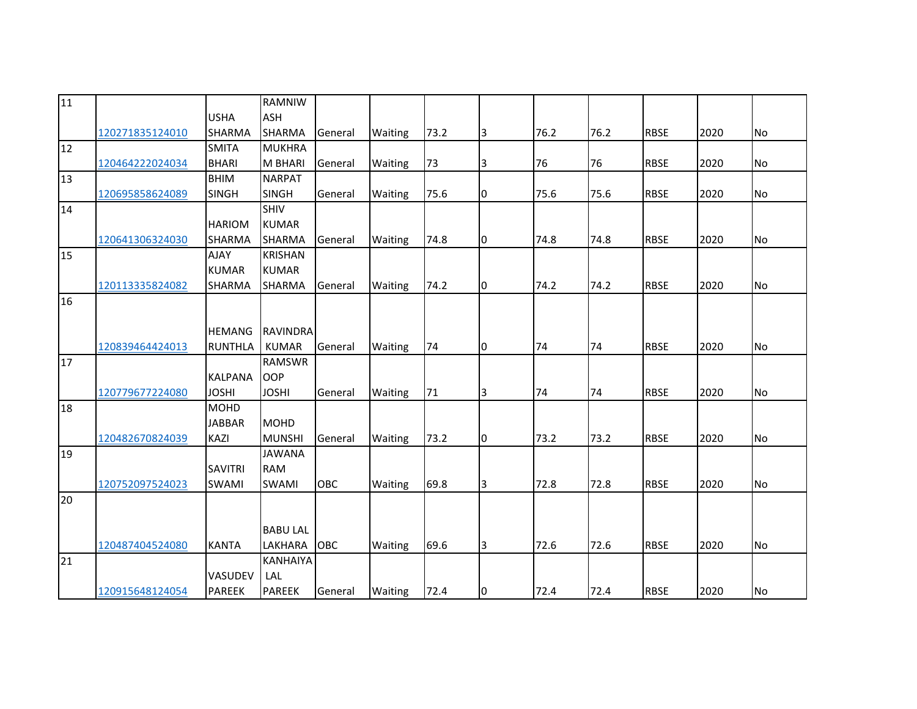| $\overline{11}$ |                                                       |                                                          | RAMNIW                                                                                |                                     |                               |                      |              |                      |                      |                                           |                      |                |
|-----------------|-------------------------------------------------------|----------------------------------------------------------|---------------------------------------------------------------------------------------|-------------------------------------|-------------------------------|----------------------|--------------|----------------------|----------------------|-------------------------------------------|----------------------|----------------|
|                 |                                                       | <b>USHA</b>                                              | <b>ASH</b>                                                                            |                                     |                               |                      |              |                      |                      |                                           |                      |                |
|                 | 120271835124010                                       | <b>SHARMA</b>                                            | <b>SHARMA</b>                                                                         | General                             | Waiting                       | 73.2                 | 3            | 76.2                 | 76.2                 | <b>RBSE</b>                               | 2020                 | <b>No</b>      |
| 12              |                                                       | <b>SMITA</b>                                             | <b>MUKHRA</b>                                                                         |                                     |                               |                      |              |                      |                      |                                           |                      |                |
|                 | 120464222024034                                       | <b>BHARI</b>                                             | <b>M BHARI</b>                                                                        | General                             | Waiting                       | 73                   | 3            | 76                   | 76                   | <b>RBSE</b>                               | 2020                 | No             |
| 13              |                                                       | <b>BHIM</b>                                              | <b>NARPAT</b>                                                                         |                                     |                               |                      |              |                      |                      |                                           |                      |                |
|                 | 120695858624089                                       | <b>SINGH</b>                                             | <b>SINGH</b>                                                                          | General                             | Waiting                       | 75.6                 | 0            | 75.6                 | 75.6                 | <b>RBSE</b>                               | 2020                 | No             |
| 14              |                                                       |                                                          | <b>SHIV</b>                                                                           |                                     |                               |                      |              |                      |                      |                                           |                      |                |
|                 |                                                       | <b>HARIOM</b>                                            | <b>KUMAR</b>                                                                          |                                     |                               |                      |              |                      |                      |                                           |                      |                |
|                 | 120641306324030                                       | <b>SHARMA</b>                                            | <b>SHARMA</b>                                                                         | General                             | Waiting                       | 74.8                 | Iо           | 74.8                 | 74.8                 | <b>RBSE</b>                               | 2020                 | No             |
| 15              |                                                       | <b>AJAY</b>                                              | <b>KRISHAN</b>                                                                        |                                     |                               |                      |              |                      |                      |                                           |                      |                |
|                 |                                                       | <b>KUMAR</b>                                             | <b>KUMAR</b>                                                                          |                                     |                               |                      |              |                      |                      |                                           |                      |                |
|                 | 120113335824082                                       | <b>SHARMA</b>                                            | <b>SHARMA</b>                                                                         | General                             | Waiting                       | 74.2                 | 10           | 74.2                 | 74.2                 | <b>RBSE</b>                               | 2020                 | No             |
| 16              |                                                       |                                                          |                                                                                       |                                     |                               |                      |              |                      |                      |                                           |                      |                |
|                 |                                                       |                                                          |                                                                                       |                                     |                               |                      |              |                      |                      |                                           |                      |                |
|                 |                                                       | <b>HEMANG</b>                                            | <b>RAVINDRA</b>                                                                       |                                     |                               |                      |              |                      |                      |                                           |                      |                |
|                 | 120839464424013                                       | <b>RUNTHLA</b>                                           | <b>KUMAR</b>                                                                          | General                             | Waiting                       | 74                   | 10           | 74                   | 74                   | <b>RBSE</b>                               | 2020                 | No             |
| 17              |                                                       |                                                          | <b>RAMSWR</b>                                                                         |                                     |                               |                      |              |                      |                      |                                           |                      |                |
|                 |                                                       | <b>KALPANA</b>                                           | <b>OOP</b>                                                                            |                                     |                               |                      |              |                      |                      |                                           |                      |                |
|                 | 120779677224080                                       | <b>JOSHI</b>                                             | <b>JOSHI</b>                                                                          | General                             | Waiting                       | 71                   | 3            | 74                   | 74                   | <b>RBSE</b>                               | 2020                 | No             |
| 18              |                                                       | <b>MOHD</b>                                              |                                                                                       |                                     |                               |                      |              |                      |                      |                                           |                      |                |
|                 |                                                       | <b>JABBAR</b>                                            | <b>MOHD</b>                                                                           |                                     |                               |                      |              |                      |                      |                                           |                      |                |
|                 | 120482670824039                                       | KAZI                                                     | <b>MUNSHI</b>                                                                         | General                             | Waiting                       | 73.2                 | 10           | 73.2                 | 73.2                 | <b>RBSE</b>                               | 2020                 | No             |
| 19              |                                                       | <b>SAVITRI</b>                                           | <b>JAWANA</b><br><b>RAM</b>                                                           |                                     |                               |                      |              |                      |                      |                                           |                      |                |
|                 |                                                       |                                                          |                                                                                       |                                     |                               |                      |              |                      |                      |                                           |                      |                |
|                 |                                                       |                                                          |                                                                                       |                                     |                               |                      |              |                      |                      |                                           |                      |                |
|                 |                                                       |                                                          |                                                                                       |                                     |                               |                      |              |                      |                      |                                           |                      |                |
|                 |                                                       |                                                          |                                                                                       |                                     |                               |                      |              |                      |                      |                                           |                      |                |
|                 |                                                       |                                                          |                                                                                       |                                     |                               |                      |              |                      |                      |                                           |                      |                |
|                 |                                                       |                                                          |                                                                                       |                                     |                               |                      |              |                      |                      |                                           |                      |                |
|                 |                                                       |                                                          |                                                                                       |                                     |                               |                      |              |                      |                      |                                           |                      |                |
|                 |                                                       |                                                          |                                                                                       |                                     |                               |                      |              |                      |                      |                                           |                      |                |
| 20<br>21        | 120752097524023<br>120487404524080<br>120915648124054 | <b>SWAMI</b><br><b>KANTA</b><br>VASUDEV<br><b>PAREEK</b> | <b>SWAMI</b><br><b>BABU LAL</b><br>LAKHARA<br><b>KANHAIYA</b><br>LAL<br><b>PAREEK</b> | <b>OBC</b><br><b>OBC</b><br>General | Waiting<br>Waiting<br>Waiting | 69.8<br>69.6<br>72.4 | 3<br>3<br>Iо | 72.8<br>72.6<br>72.4 | 72.8<br>72.6<br>72.4 | <b>RBSE</b><br><b>RBSE</b><br><b>RBSE</b> | 2020<br>2020<br>2020 | No<br>No<br>No |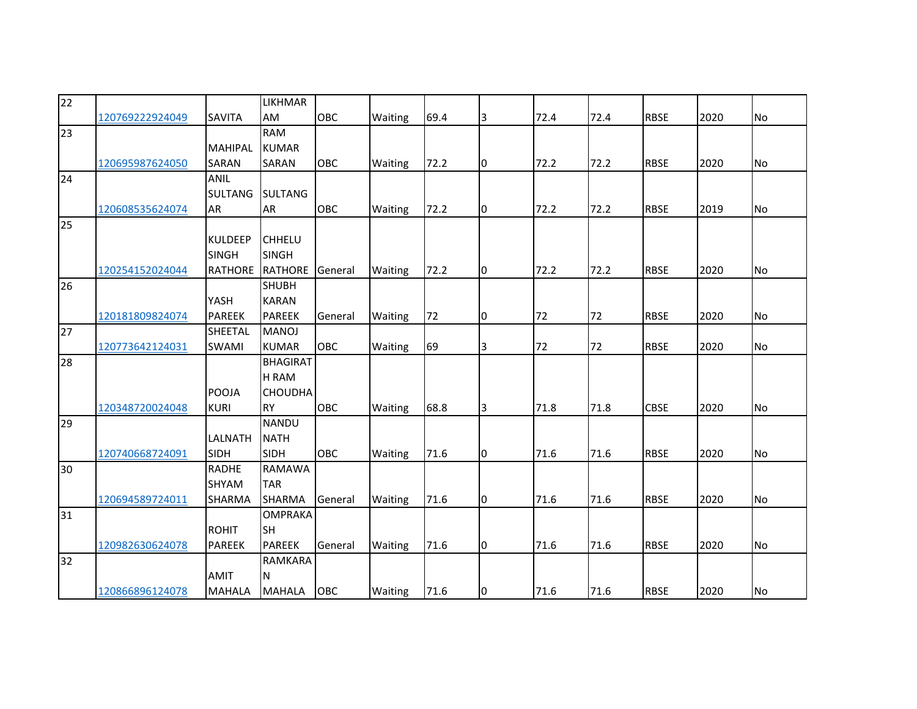| $\overline{22}$ |                 |                | <b>LIKHMAR</b>  |            |         |      |    |      |      |             |      |           |
|-----------------|-----------------|----------------|-----------------|------------|---------|------|----|------|------|-------------|------|-----------|
|                 | 120769222924049 | <b>SAVITA</b>  | AM              | <b>OBC</b> | Waiting | 69.4 | 13 | 72.4 | 72.4 | <b>RBSE</b> | 2020 | No        |
| 23              |                 |                | <b>RAM</b>      |            |         |      |    |      |      |             |      |           |
|                 |                 | <b>MAHIPAL</b> | <b>KUMAR</b>    |            |         |      |    |      |      |             |      |           |
|                 | 120695987624050 | <b>SARAN</b>   | <b>SARAN</b>    | OBC        | Waiting | 72.2 | I0 | 72.2 | 72.2 | <b>RBSE</b> | 2020 | <b>No</b> |
| 24              |                 | <b>ANIL</b>    |                 |            |         |      |    |      |      |             |      |           |
|                 |                 | <b>SULTANG</b> | <b>SULTANG</b>  |            |         |      |    |      |      |             |      |           |
|                 | 120608535624074 | AR             | <b>AR</b>       | <b>OBC</b> | Waiting | 72.2 | 10 | 72.2 | 72.2 | <b>RBSE</b> | 2019 | No        |
| 25              |                 |                |                 |            |         |      |    |      |      |             |      |           |
|                 |                 | <b>KULDEEP</b> | <b>CHHELU</b>   |            |         |      |    |      |      |             |      |           |
|                 |                 | <b>SINGH</b>   | <b>SINGH</b>    |            |         |      |    |      |      |             |      |           |
|                 | 120254152024044 | RATHORE        | <b>RATHORE</b>  | General    | Waiting | 72.2 | 10 | 72.2 | 72.2 | <b>RBSE</b> | 2020 | No        |
| 26              |                 |                | <b>SHUBH</b>    |            |         |      |    |      |      |             |      |           |
|                 |                 | YASH           | <b>KARAN</b>    |            |         |      |    |      |      |             |      |           |
|                 | 120181809824074 | <b>PAREEK</b>  | <b>PAREEK</b>   | General    | Waiting | 72   | 10 | 72   | 72   | <b>RBSE</b> | 2020 | No        |
| 27              |                 | SHEETAL        | <b>MANOJ</b>    |            |         |      |    |      |      |             |      |           |
|                 | 120773642124031 | <b>SWAMI</b>   | <b>KUMAR</b>    | <b>OBC</b> | Waiting | 69   | 3  | 72   | 72   | <b>RBSE</b> | 2020 | No        |
| 28              |                 |                | <b>BHAGIRAT</b> |            |         |      |    |      |      |             |      |           |
|                 |                 |                | <b>H RAM</b>    |            |         |      |    |      |      |             |      |           |
|                 |                 | <b>POOJA</b>   | <b>CHOUDHA</b>  |            |         |      |    |      |      |             |      |           |
|                 | 120348720024048 | <b>KURI</b>    | <b>RY</b>       | <b>OBC</b> | Waiting | 68.8 | 3  | 71.8 | 71.8 | <b>CBSE</b> | 2020 | No        |
| 29              |                 |                | <b>NANDU</b>    |            |         |      |    |      |      |             |      |           |
|                 |                 | LALNATH        | <b>NATH</b>     |            |         |      |    |      |      |             |      |           |
|                 | 120740668724091 | SIDH           | <b>SIDH</b>     | <b>OBC</b> | Waiting | 71.6 | 10 | 71.6 | 71.6 | <b>RBSE</b> | 2020 | <b>No</b> |
| 30              |                 | <b>RADHE</b>   | <b>RAMAWA</b>   |            |         |      |    |      |      |             |      |           |
|                 |                 | <b>SHYAM</b>   | <b>TAR</b>      |            |         |      |    |      |      |             |      |           |
|                 | 120694589724011 | SHARMA         | <b>SHARMA</b>   | General    | Waiting | 71.6 | Iо | 71.6 | 71.6 | <b>RBSE</b> | 2020 | <b>No</b> |
| 31              |                 |                | <b>OMPRAKA</b>  |            |         |      |    |      |      |             |      |           |
|                 |                 | <b>ROHIT</b>   | <b>SH</b>       |            |         |      |    |      |      |             |      |           |
|                 | 120982630624078 | <b>PAREEK</b>  | <b>PAREEK</b>   | General    | Waiting | 71.6 | Iо | 71.6 | 71.6 | <b>RBSE</b> | 2020 | No        |
| 32              |                 |                | RAMKARA         |            |         |      |    |      |      |             |      |           |
|                 |                 | <b>AMIT</b>    | N               |            |         |      |    |      |      |             |      |           |
|                 | 120866896124078 | <b>MAHALA</b>  | <b>MAHALA</b>   | OBC        | Waiting | 71.6 | 10 | 71.6 | 71.6 | <b>RBSE</b> | 2020 | No        |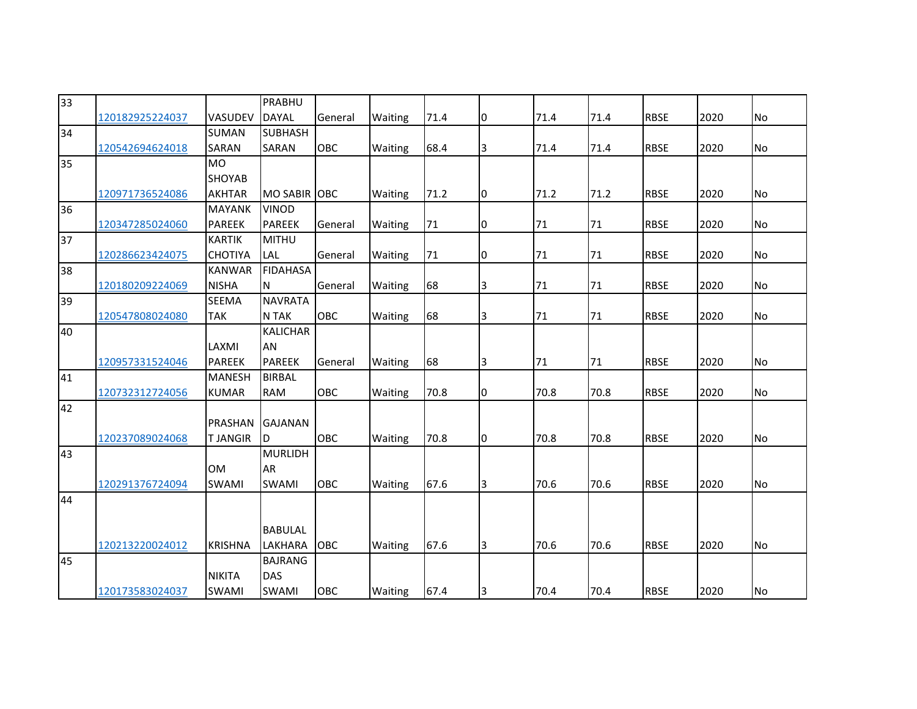| <b>DAYAL</b><br>General<br><b>RBSE</b><br>VASUDEV<br>Waiting<br>71.4<br>10<br>71.4<br>71.4<br>120182925224037            | 2020<br>No        |
|--------------------------------------------------------------------------------------------------------------------------|-------------------|
| <b>SUBHASH</b><br>34<br><b>SUMAN</b>                                                                                     |                   |
| <b>OBC</b><br><b>RBSE</b><br>SARAN<br>SARAN<br>Waiting<br>68.4<br>3<br>71.4<br>71.4<br>120542694624018                   | 2020<br>No        |
| <b>MO</b><br>35                                                                                                          |                   |
| <b>SHOYAB</b>                                                                                                            |                   |
| 71.2<br><b>RBSE</b><br><b>AKHTAR</b><br>MO SABIR OBC<br>Waiting<br>71.2<br>10<br>71.2<br>120971736524086                 | 2020<br>No        |
| 36<br><b>MAYANK</b><br><b>VINOD</b>                                                                                      |                   |
| <b>PAREEK</b><br><b>PAREEK</b><br>71<br><b>RBSE</b><br>General<br>Waiting<br>71<br>71<br>120347285024060<br>10           | 2020<br>No        |
| 37<br><b>MITHU</b><br><b>KARTIK</b>                                                                                      |                   |
| $71\,$<br><b>RBSE</b><br>120286623424075<br><b>CHOTIYA</b><br>LAL<br>General<br>Waiting<br>71<br>71<br>10                | 2020<br>No        |
| 38<br><b>FIDAHASA</b><br><b>KANWAR</b>                                                                                   |                   |
| <b>NISHA</b><br>N<br>68<br>3<br><b>RBSE</b><br>120180209224069<br>General<br>Waiting<br>71<br>71                         | 2020<br><b>No</b> |
| <b>NAVRATA</b><br>39<br><b>SEEMA</b>                                                                                     |                   |
| N TAK<br><b>OBC</b><br>68<br><b>TAK</b><br>Waiting<br>3<br>71<br>71<br><b>RBSE</b><br>120547808024080                    | 2020<br>No        |
| <b>KALICHAR</b><br>40                                                                                                    |                   |
| LAXMI<br>AN                                                                                                              |                   |
| 68<br><b>PAREEK</b><br><b>PAREEK</b><br>3<br>71<br>71<br><b>RBSE</b><br>120957331524046<br>General<br>Waiting            | 2020<br><b>No</b> |
| 41<br><b>BIRBAL</b><br><b>MANESH</b>                                                                                     |                   |
| OBC<br>120732312724056<br><b>KUMAR</b><br><b>RAM</b><br>Waiting<br>70.8<br>0<br>70.8<br>70.8<br><b>RBSE</b>              | 2020<br>No        |
| 42                                                                                                                       |                   |
| <b>PRASHAN</b><br><b>GAJANAN</b>                                                                                         |                   |
| <b>TJANGIR</b><br>OBC<br>70.8<br>70.8<br>70.8<br><b>RBSE</b><br>120237089024068<br>Waiting<br>10<br>D                    | 2020<br><b>No</b> |
| <b>MURLIDH</b><br>43                                                                                                     |                   |
| <b>OM</b><br>AR<br>70.6<br><b>RBSE</b><br><b>OBC</b><br>67.6<br>70.6                                                     | 2020<br><b>No</b> |
| 3<br>120291376724094<br><b>SWAMI</b><br><b>SWAMI</b><br>Waiting<br>44                                                    |                   |
|                                                                                                                          |                   |
| <b>BABULAL</b>                                                                                                           |                   |
| 67.6<br>3<br>70.6<br><b>RBSE</b><br><b>KRISHNA</b><br><b>LAKHARA</b><br><b>OBC</b><br>Waiting<br>70.6<br>120213220024012 | 2020<br><b>No</b> |
| 45<br><b>BAJRANG</b>                                                                                                     |                   |
| <b>NIKITA</b><br>DAS                                                                                                     |                   |
| <b>RBSE</b><br>SWAMI<br>OBC<br>Waiting<br>67.4<br>Iз<br>70.4<br>70.4<br>120173583024037<br>SWAMI                         | 2020<br>No        |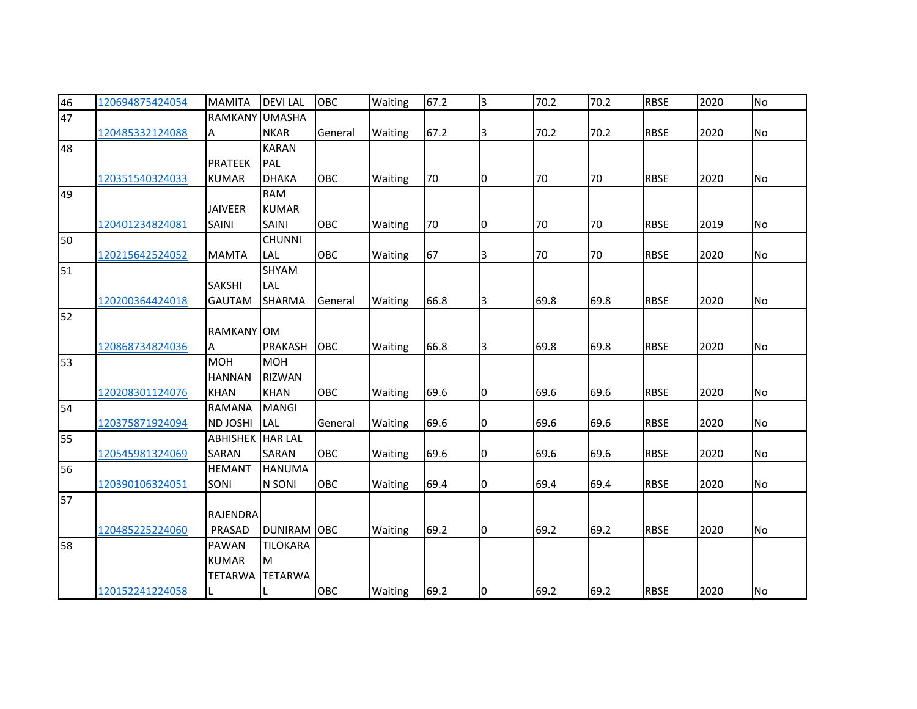| 46 | 120694875424054 | <b>MAMITA</b>   | <b>DEVILAL</b>     | OBC     | Waiting | 67.2 | 3  | 70.2 | 70.2 | <b>RBSE</b> | 2020 | <b>No</b> |
|----|-----------------|-----------------|--------------------|---------|---------|------|----|------|------|-------------|------|-----------|
| 47 |                 | <b>RAMKANY</b>  | <b>UMASHA</b>      |         |         |      |    |      |      |             |      |           |
|    | 120485332124088 | Α               | <b>NKAR</b>        | General | Waiting | 67.2 | 3  | 70.2 | 70.2 | <b>RBSE</b> | 2020 | <b>No</b> |
| 48 |                 |                 | <b>KARAN</b>       |         |         |      |    |      |      |             |      |           |
|    |                 | <b>PRATEEK</b>  | PAL                |         |         |      |    |      |      |             |      |           |
|    | 120351540324033 | <b>KUMAR</b>    | <b>DHAKA</b>       | OBC     | Waiting | 70   | 10 | 70   | 70   | <b>RBSE</b> | 2020 | <b>No</b> |
| 49 |                 |                 | <b>RAM</b>         |         |         |      |    |      |      |             |      |           |
|    |                 | <b>JAIVEER</b>  | <b>KUMAR</b>       |         |         |      |    |      |      |             |      |           |
|    | 120401234824081 | <b>SAINI</b>    | <b>SAINI</b>       | OBC     | Waiting | 70   | I0 | 70   | 70   | <b>RBSE</b> | 2019 | <b>No</b> |
| 50 |                 |                 | <b>CHUNNI</b>      |         |         |      |    |      |      |             |      |           |
|    | 120215642524052 | <b>MAMTA</b>    | LAL                | OBC     | Waiting | 67   | 3  | 70   | 70   | <b>RBSE</b> | 2020 | No        |
| 51 |                 |                 | SHYAM              |         |         |      |    |      |      |             |      |           |
|    |                 | <b>SAKSHI</b>   | LAL                |         |         |      |    |      |      |             |      |           |
|    | 120200364424018 | <b>GAUTAM</b>   | <b>SHARMA</b>      | General | Waiting | 66.8 | 3  | 69.8 | 69.8 | <b>RBSE</b> | 2020 | No        |
| 52 |                 |                 |                    |         |         |      |    |      |      |             |      |           |
|    |                 | RAMKANY OM      |                    |         |         |      |    |      |      |             |      |           |
|    | 120868734824036 | A               | <b>PRAKASH</b>     | OBC     | Waiting | 66.8 | 3  | 69.8 | 69.8 | <b>RBSE</b> | 2020 | No        |
| 53 |                 | <b>MOH</b>      | <b>MOH</b>         |         |         |      |    |      |      |             |      |           |
|    |                 | <b>HANNAN</b>   | <b>RIZWAN</b>      |         |         |      |    |      |      |             |      |           |
|    | 120208301124076 | <b>KHAN</b>     | <b>KHAN</b>        | OBC     | Waiting | 69.6 | 0  | 69.6 | 69.6 | <b>RBSE</b> | 2020 | <b>No</b> |
| 54 |                 | <b>RAMANA</b>   | <b>MANGI</b>       |         |         |      |    |      |      |             |      |           |
|    | 120375871924094 | <b>ND JOSHI</b> | LAL                | General | Waiting | 69.6 | l0 | 69.6 | 69.6 | <b>RBSE</b> | 2020 | <b>No</b> |
| 55 |                 | <b>ABHISHEK</b> | <b>HAR LAL</b>     |         |         |      |    |      |      |             |      |           |
|    | 120545981324069 | <b>SARAN</b>    | <b>SARAN</b>       | OBC     | Waiting | 69.6 | 10 | 69.6 | 69.6 | <b>RBSE</b> | 2020 | No        |
| 56 |                 | <b>HEMANT</b>   | <b>HANUMA</b>      |         |         |      |    |      |      |             |      |           |
|    | 120390106324051 | SONI            | N SONI             | OBC     | Waiting | 69.4 | 10 | 69.4 | 69.4 | <b>RBSE</b> | 2020 | No        |
| 57 |                 |                 |                    |         |         |      |    |      |      |             |      |           |
|    |                 | <b>RAJENDRA</b> |                    |         |         |      |    |      |      |             |      |           |
|    | 120485225224060 | PRASAD          | <b>DUNIRAM OBC</b> |         | Waiting | 69.2 | l0 | 69.2 | 69.2 | <b>RBSE</b> | 2020 | <b>No</b> |
| 58 |                 | PAWAN           | <b>TILOKARA</b>    |         |         |      |    |      |      |             |      |           |
|    |                 | <b>KUMAR</b>    | M                  |         |         |      |    |      |      |             |      |           |
|    |                 | <b>TETARWA</b>  | <b>TETARWA</b>     |         |         |      |    |      |      |             |      |           |
|    | 120152241224058 |                 |                    | OBC     | Waiting | 69.2 | 0  | 69.2 | 69.2 | <b>RBSE</b> | 2020 | No        |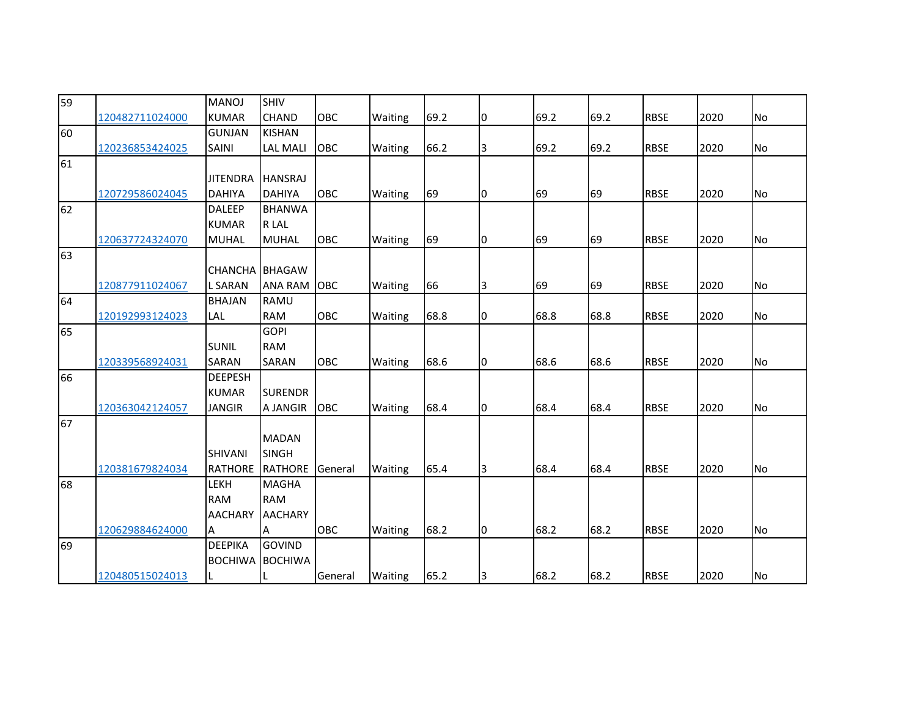| 59 |                 | <b>MANOJ</b>    | <b>SHIV</b>           |            |         |      |    |      |      |             |      |           |
|----|-----------------|-----------------|-----------------------|------------|---------|------|----|------|------|-------------|------|-----------|
|    | 120482711024000 | <b>KUMAR</b>    | <b>CHAND</b>          | <b>OBC</b> | Waiting | 69.2 | 10 | 69.2 | 69.2 | <b>RBSE</b> | 2020 | <b>No</b> |
| 60 |                 | <b>GUNJAN</b>   | <b>KISHAN</b>         |            |         |      |    |      |      |             |      |           |
|    | 120236853424025 | SAINI           | <b>LAL MALI</b>       | OBC        | Waiting | 66.2 | 3  | 69.2 | 69.2 | <b>RBSE</b> | 2020 | No        |
| 61 |                 |                 |                       |            |         |      |    |      |      |             |      |           |
|    |                 | <b>JITENDRA</b> | <b>HANSRAJ</b>        |            |         |      |    |      |      |             |      |           |
|    | 120729586024045 | <b>DAHIYA</b>   | <b>DAHIYA</b>         | OBC        | Waiting | 69   | I0 | 69   | 69   | <b>RBSE</b> | 2020 | <b>No</b> |
| 62 |                 | <b>DALEEP</b>   | <b>BHANWA</b>         |            |         |      |    |      |      |             |      |           |
|    |                 | <b>KUMAR</b>    | R LAL                 |            |         |      |    |      |      |             |      |           |
|    | 120637724324070 | <b>MUHAL</b>    | <b>MUHAL</b>          | OBC        | Waiting | 69   | 10 | 69   | 69   | <b>RBSE</b> | 2020 | No        |
| 63 |                 |                 |                       |            |         |      |    |      |      |             |      |           |
|    |                 |                 | <b>CHANCHA BHAGAW</b> |            |         |      |    |      |      |             |      |           |
|    | 120877911024067 | <b>L SARAN</b>  | <b>ANA RAM</b>        | <b>OBC</b> | Waiting | 66   | 3  | 69   | 69   | <b>RBSE</b> | 2020 | <b>No</b> |
| 64 |                 | <b>BHAJAN</b>   | RAMU                  |            |         |      |    |      |      |             |      |           |
|    | 120192993124023 | LAL             | <b>RAM</b>            | OBC        | Waiting | 68.8 | 0  | 68.8 | 68.8 | <b>RBSE</b> | 2020 | <b>No</b> |
| 65 |                 |                 | <b>GOPI</b>           |            |         |      |    |      |      |             |      |           |
|    |                 | <b>SUNIL</b>    | <b>RAM</b>            |            |         |      |    |      |      |             |      |           |
|    | 120339568924031 | SARAN           | SARAN                 | OBC        | Waiting | 68.6 | I0 | 68.6 | 68.6 | <b>RBSE</b> | 2020 | <b>No</b> |
| 66 |                 | <b>DEEPESH</b>  |                       |            |         |      |    |      |      |             |      |           |
|    |                 | <b>KUMAR</b>    | <b>SURENDR</b>        |            |         |      |    |      |      |             |      |           |
|    | 120363042124057 | <b>JANGIR</b>   | A JANGIR              | OBC        | Waiting | 68.4 | 10 | 68.4 | 68.4 | <b>RBSE</b> | 2020 | <b>No</b> |
| 67 |                 |                 |                       |            |         |      |    |      |      |             |      |           |
|    |                 |                 | <b>MADAN</b>          |            |         |      |    |      |      |             |      |           |
|    |                 | <b>SHIVANI</b>  | <b>SINGH</b>          |            |         |      |    |      |      |             |      |           |
|    | 120381679824034 | RATHORE         | RATHORE               | General    | Waiting | 65.4 | Iз | 68.4 | 68.4 | <b>RBSE</b> | 2020 | <b>No</b> |
| 68 |                 | LEKH            | <b>MAGHA</b>          |            |         |      |    |      |      |             |      |           |
|    |                 | <b>RAM</b>      | <b>RAM</b>            |            |         |      |    |      |      |             |      |           |
|    |                 | <b>AACHARY</b>  | <b>AACHARY</b>        |            |         |      |    |      |      |             |      |           |
|    | 120629884624000 | A               | A                     | OBC        | Waiting | 68.2 | I0 | 68.2 | 68.2 | <b>RBSE</b> | 2020 | <b>No</b> |
| 69 |                 | <b>DEEPIKA</b>  | <b>GOVIND</b>         |            |         |      |    |      |      |             |      |           |
|    |                 | <b>BOCHIWA</b>  | <b>BOCHIWA</b>        |            |         |      |    |      |      |             |      |           |
|    | 120480515024013 | L               |                       | General    | Waiting | 65.2 | 13 | 68.2 | 68.2 | <b>RBSE</b> | 2020 | <b>No</b> |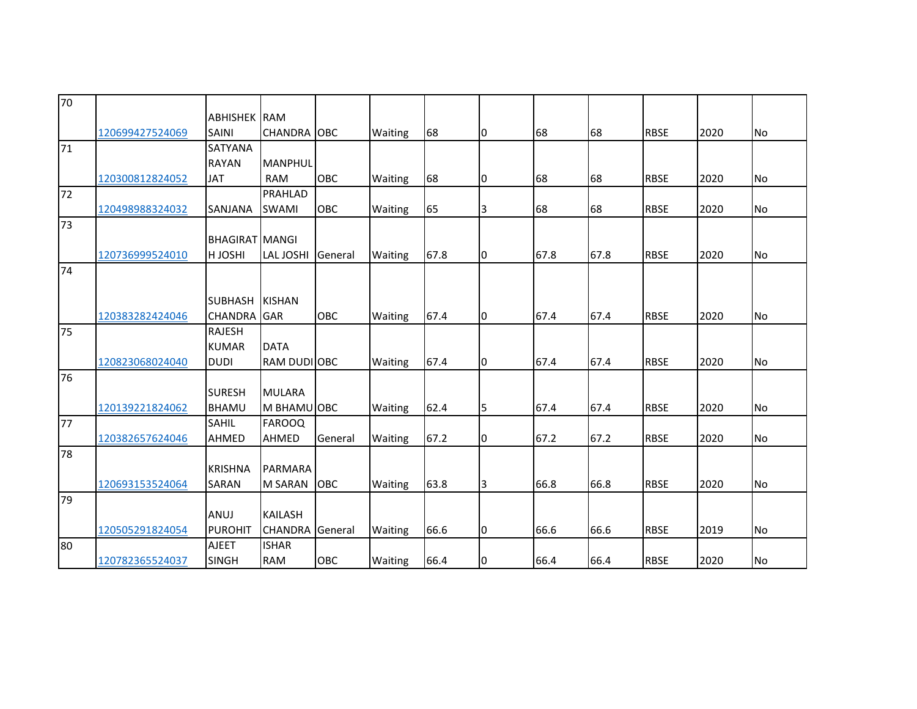| 70 |                 |                       |                     |         |         |      |    |      |      |             |      |           |
|----|-----------------|-----------------------|---------------------|---------|---------|------|----|------|------|-------------|------|-----------|
|    |                 | <b>ABHISHEK RAM</b>   |                     |         |         |      |    |      |      |             |      |           |
|    | 120699427524069 | <b>SAINI</b>          | <b>CHANDRA OBC</b>  |         | Waiting | 68   | 10 | 68   | 68   | <b>RBSE</b> | 2020 | <b>No</b> |
| 71 |                 | <b>SATYANA</b>        |                     |         |         |      |    |      |      |             |      |           |
|    |                 | <b>RAYAN</b>          | <b>MANPHUL</b>      |         |         |      |    |      |      |             |      |           |
|    | 120300812824052 | <b>JAT</b>            | <b>RAM</b>          | OBC     | Waiting | 68   | l0 | 68   | 68   | <b>RBSE</b> | 2020 | <b>No</b> |
| 72 |                 |                       | <b>PRAHLAD</b>      |         |         |      |    |      |      |             |      |           |
|    | 120498988324032 | SANJANA               | <b>SWAMI</b>        | OBC     | Waiting | 65   | 3  | 68   | 68   | <b>RBSE</b> | 2020 | No        |
| 73 |                 |                       |                     |         |         |      |    |      |      |             |      |           |
|    |                 | <b>BHAGIRAT MANGI</b> |                     |         |         |      |    |      |      |             |      |           |
|    | 120736999524010 | HJOSHI                | <b>LAL JOSHI</b>    | General | Waiting | 67.8 | I0 | 67.8 | 67.8 | <b>RBSE</b> | 2020 | No        |
| 74 |                 |                       |                     |         |         |      |    |      |      |             |      |           |
|    |                 |                       |                     |         |         |      |    |      |      |             |      |           |
|    |                 | <b>SUBHASH</b>        | <b>KISHAN</b>       |         |         |      |    |      |      |             |      |           |
|    | 120383282424046 | <b>CHANDRA</b> GAR    |                     | OBC     | Waiting | 67.4 | 10 | 67.4 | 67.4 | <b>RBSE</b> | 2020 | No        |
| 75 |                 | <b>RAJESH</b>         |                     |         |         |      |    |      |      |             |      |           |
|    |                 | <b>KUMAR</b>          | <b>DATA</b>         |         |         |      |    |      |      |             |      |           |
|    | 120823068024040 | <b>DUDI</b>           | <b>RAM DUDI OBC</b> |         | Waiting | 67.4 | I0 | 67.4 | 67.4 | <b>RBSE</b> | 2020 | <b>No</b> |
| 76 |                 |                       |                     |         |         |      |    |      |      |             |      |           |
|    |                 | <b>SURESH</b>         | <b>MULARA</b>       |         |         |      |    |      |      |             |      |           |
|    | 120139221824062 | <b>BHAMU</b>          | M BHAMU OBC         |         | Waiting | 62.4 | 5  | 67.4 | 67.4 | <b>RBSE</b> | 2020 | <b>No</b> |
| 77 |                 | SAHIL                 | <b>FAROOQ</b>       |         |         |      |    |      |      |             |      |           |
|    | 120382657624046 | <b>AHMED</b>          | AHMED               | General | Waiting | 67.2 | I0 | 67.2 | 67.2 | <b>RBSE</b> | 2020 | <b>No</b> |
| 78 |                 |                       |                     |         |         |      |    |      |      |             |      |           |
|    |                 | <b>KRISHNA</b>        | PARMARA             |         |         |      |    |      |      |             |      |           |
|    | 120693153524064 | <b>SARAN</b>          | <b>M SARAN</b>      | OBC     | Waiting | 63.8 | Iз | 66.8 | 66.8 | <b>RBSE</b> | 2020 | <b>No</b> |
| 79 |                 |                       |                     |         |         |      |    |      |      |             |      |           |
|    |                 | ANUJ                  | <b>KAILASH</b>      |         |         |      |    |      |      |             |      |           |
|    | 120505291824054 | <b>PUROHIT</b>        | <b>CHANDRA</b>      | General | Waiting | 66.6 | 10 | 66.6 | 66.6 | <b>RBSE</b> | 2019 | No        |
| 80 |                 | <b>AJEET</b>          | <b>ISHAR</b>        |         |         |      |    |      |      |             |      |           |
|    | 120782365524037 | <b>SINGH</b>          | <b>RAM</b>          | OBC     | Waiting | 66.4 | 10 | 66.4 | 66.4 | <b>RBSE</b> | 2020 | No        |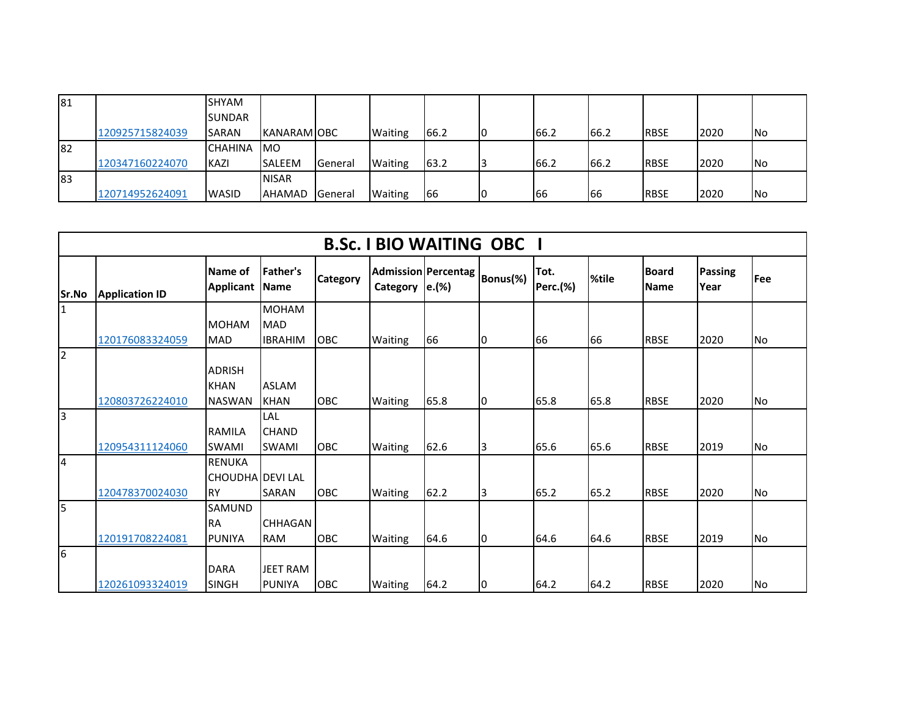| 81 |                 | <b>SHYAM</b>   |                     |         |                |      |    |       |      |             |      |            |
|----|-----------------|----------------|---------------------|---------|----------------|------|----|-------|------|-------------|------|------------|
|    |                 | <b>ISUNDAR</b> |                     |         |                |      |    |       |      |             |      |            |
|    | 120925715824039 | <b>ISARAN</b>  | <b>IKANARAMIOBC</b> |         | <b>Waiting</b> | 66.2 | 10 | 66.2  | 66.2 | <b>RBSE</b> | 2020 | <b>INo</b> |
| 82 |                 | <b>CHAHINA</b> | <b>IMO</b>          |         |                |      |    |       |      |             |      |            |
|    | 120347160224070 | KAZI           | <b>SALEEM</b>       | General | <b>Waiting</b> | 63.2 |    | 166.2 | 66.2 | <b>RBSE</b> | 2020 | <b>INo</b> |
| 83 |                 |                | <b>NISAR</b>        |         |                |      |    |       |      |             |      |            |
|    | 120714952624091 | <b>WASID</b>   | AHAMAD General      |         | <b>Waiting</b> | 66   | 10 | 166   | 166  | <b>RBSE</b> | 2020 | <b>INo</b> |

|                | <b>B.Sc. I BIO WAITING OBC I</b> |                                                 |                                     |                 |                                                 |      |          |                  |       |                      |                        |            |  |  |
|----------------|----------------------------------|-------------------------------------------------|-------------------------------------|-----------------|-------------------------------------------------|------|----------|------------------|-------|----------------------|------------------------|------------|--|--|
| <b>Sr.No</b>   | <b>Application ID</b>            | Name of<br><b>Applicant Name</b>                | <b>Father's</b>                     | <b>Category</b> | <b>Admission Percentag</b><br>Category $ e.(%)$ |      | Bonus(%) | Tot.<br>Perc.(%) | %tile | <b>Board</b><br>Name | <b>Passing</b><br>Year | <b>Fee</b> |  |  |
| $\mathbf{1}$   |                                  |                                                 | <b>MOHAM</b>                        |                 |                                                 |      |          |                  |       |                      |                        |            |  |  |
|                | 120176083324059                  | <b>MOHAM</b><br><b>MAD</b>                      | <b>MAD</b><br><b>IBRAHIM</b>        | <b>OBC</b>      | <b>Waiting</b>                                  | 66   | 10       | 66               | 66    | <b>RBSE</b>          | 2020                   | <b>No</b>  |  |  |
| $\overline{2}$ |                                  | <b>ADRISH</b><br><b>KHAN</b>                    | <b>ASLAM</b>                        |                 |                                                 |      |          |                  |       |                      |                        |            |  |  |
|                | 120803726224010                  | <b>NASWAN</b>                                   | <b>KHAN</b>                         | <b>OBC</b>      | <b>Waiting</b>                                  | 65.8 | 10       | 65.8             | 65.8  | <b>RBSE</b>          | 2020                   | INo.       |  |  |
| Iз             | 120954311124060                  | <b>RAMILA</b><br><b>SWAMI</b>                   | LAL<br><b>CHAND</b><br><b>SWAMI</b> | OBC             | Waiting                                         | 62.6 | 3        | 65.6             | 65.6  | <b>RBSE</b>          | 2019                   | No         |  |  |
| $\overline{a}$ | 120478370024030                  | <b>RENUKA</b><br>CHOUDHA DEVI LAL<br><b>IRY</b> | SARAN                               | OBC             | <b>Waiting</b>                                  | 62.2 | I3       | 65.2             | 65.2  | <b>RBSE</b>          | 2020                   | lNo.       |  |  |
| 5              | 120191708224081                  | <b>SAMUND</b><br><b>RA</b><br><b>PUNIYA</b>     | <b>CHHAGAN</b><br><b>RAM</b>        | OBC             | <b>Waiting</b>                                  | 64.6 | 10       | 64.6             | 64.6  | <b>RBSE</b>          | 2019                   | <b>No</b>  |  |  |
| 6              | 120261093324019                  | <b>DARA</b><br><b>SINGH</b>                     | <b>JEET RAM</b><br><b>PUNIYA</b>    | <b>OBC</b>      | <b>Waiting</b>                                  | 64.2 | 10       | 64.2             | 64.2  | <b>RBSE</b>          | 2020                   | <b>No</b>  |  |  |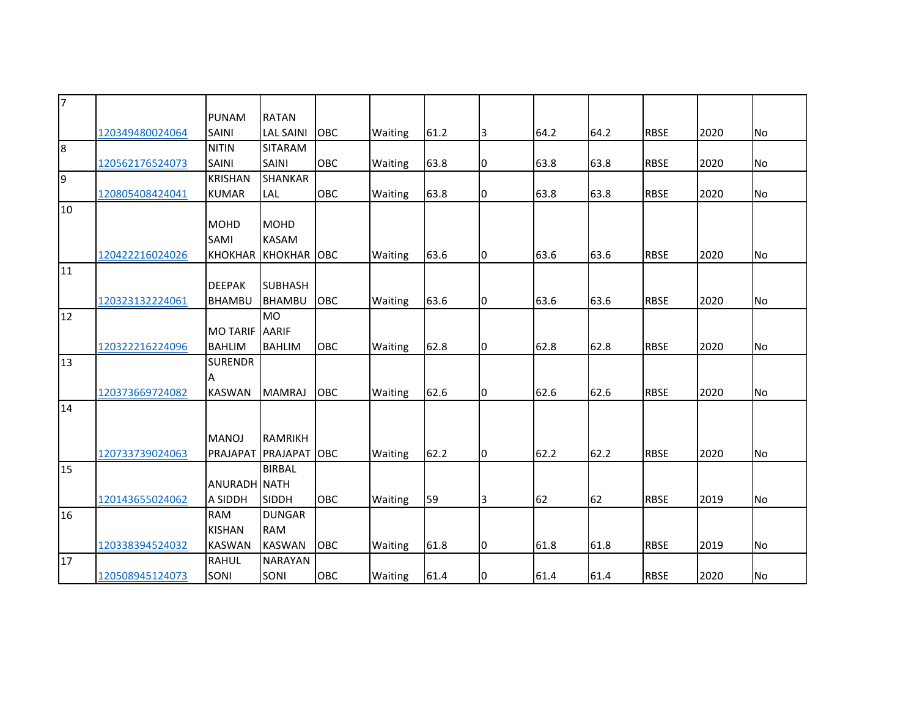| 7  |                 |                     |                        |            |         |      |             |      |      |             |      |           |
|----|-----------------|---------------------|------------------------|------------|---------|------|-------------|------|------|-------------|------|-----------|
|    |                 | <b>PUNAM</b>        | <b>RATAN</b>           |            |         |      |             |      |      |             |      |           |
|    | 120349480024064 | SAINI               | <b>LAL SAINI</b>       | OBC        | Waiting | 61.2 | 3           | 64.2 | 64.2 | <b>RBSE</b> | 2020 | <b>No</b> |
| 8  |                 | <b>NITIN</b>        | <b>SITARAM</b>         |            |         |      |             |      |      |             |      |           |
|    | 120562176524073 | SAINI               | SAINI                  | OBC        | Waiting | 63.8 | 10          | 63.8 | 63.8 | <b>RBSE</b> | 2020 | No        |
| 9  |                 | <b>KRISHAN</b>      | <b>SHANKAR</b>         |            |         |      |             |      |      |             |      |           |
|    | 120805408424041 | <b>KUMAR</b>        | <b>LAL</b>             | OBC        | Waiting | 63.8 | 10          | 63.8 | 63.8 | <b>RBSE</b> | 2020 | <b>No</b> |
| 10 |                 |                     |                        |            |         |      |             |      |      |             |      |           |
|    |                 | <b>MOHD</b>         | <b>MOHD</b>            |            |         |      |             |      |      |             |      |           |
|    |                 | SAMI                | <b>KASAM</b>           |            |         |      |             |      |      |             |      |           |
|    | 120422216024026 |                     | <b>KHOKHAR KHOKHAR</b> | <b>OBC</b> | Waiting | 63.6 | 10          | 63.6 | 63.6 | <b>RBSE</b> | 2020 | No        |
| 11 |                 |                     |                        |            |         |      |             |      |      |             |      |           |
|    |                 | <b>DEEPAK</b>       | <b>SUBHASH</b>         |            |         |      |             |      |      |             |      |           |
|    | 120323132224061 | <b>BHAMBU</b>       | <b>BHAMBU</b>          | OBC        | Waiting | 63.6 | 10          | 63.6 | 63.6 | <b>RBSE</b> | 2020 | No        |
| 12 |                 |                     | <b>MO</b>              |            |         |      |             |      |      |             |      |           |
|    |                 | <b>MO TARIF</b>     | <b>AARIF</b>           |            |         |      |             |      |      |             |      |           |
|    | 120322216224096 | <b>BAHLIM</b>       | <b>BAHLIM</b>          | OBC        | Waiting | 62.8 | 10          | 62.8 | 62.8 | <b>RBSE</b> | 2020 | No        |
| 13 |                 | <b>SURENDR</b>      |                        |            |         |      |             |      |      |             |      |           |
|    |                 | А                   |                        |            |         |      |             |      |      |             |      |           |
|    | 120373669724082 | <b>KASWAN</b>       | <b>MAMRAJ</b>          | OBC        | Waiting | 62.6 | $ 0\rangle$ | 62.6 | 62.6 | <b>RBSE</b> | 2020 | No        |
| 14 |                 |                     |                        |            |         |      |             |      |      |             |      |           |
|    |                 |                     |                        |            |         |      |             |      |      |             |      |           |
|    |                 | <b>MANOJ</b>        | <b>RAMRIKH</b>         |            |         |      |             |      |      |             |      |           |
|    | 120733739024063 | PRAJAPAT            | PRAJAPAT               | <b>OBC</b> | Waiting | 62.2 | I0          | 62.2 | 62.2 | <b>RBSE</b> | 2020 | <b>No</b> |
| 15 |                 |                     | <b>BIRBAL</b>          |            |         |      |             |      |      |             |      |           |
|    |                 | <b>ANURADH NATH</b> |                        |            |         |      |             |      |      |             |      |           |
|    | 120143655024062 | A SIDDH             | <b>SIDDH</b>           | <b>OBC</b> | Waiting | 59   | 3           | 62   | 62   | <b>RBSE</b> | 2019 | No        |
| 16 |                 | <b>RAM</b>          | <b>DUNGAR</b>          |            |         |      |             |      |      |             |      |           |
|    |                 | <b>KISHAN</b>       | <b>RAM</b>             |            |         |      |             |      |      |             |      |           |
|    | 120338394524032 | <b>KASWAN</b>       | <b>KASWAN</b>          | OBC        | Waiting | 61.8 | I0          | 61.8 | 61.8 | <b>RBSE</b> | 2019 | <b>No</b> |
| 17 |                 | <b>RAHUL</b>        | <b>NARAYAN</b>         |            |         |      |             |      |      |             |      |           |
|    | 120508945124073 | SONI                | SONI                   | OBC        | Waiting | 61.4 | 10          | 61.4 | 61.4 | <b>RBSE</b> | 2020 | No        |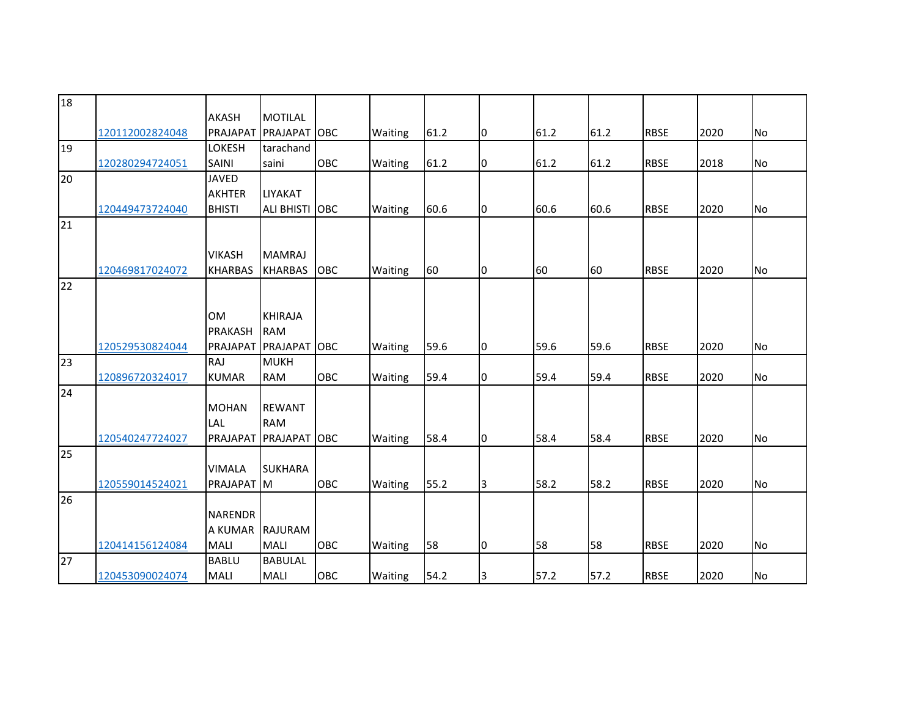| 18 |                 |                |                   |            |         |      |    |      |      |             |      |           |
|----|-----------------|----------------|-------------------|------------|---------|------|----|------|------|-------------|------|-----------|
|    |                 |                |                   |            |         |      |    |      |      |             |      |           |
|    |                 | <b>AKASH</b>   | <b>MOTILAL</b>    |            |         |      |    |      |      |             |      |           |
|    | 120112002824048 | PRAJAPAT       | PRAJAPAT          | OBC        | Waiting | 61.2 | Iо | 61.2 | 61.2 | <b>RBSE</b> | 2020 | <b>No</b> |
| 19 |                 | <b>LOKESH</b>  | tarachand         |            |         |      |    |      |      |             |      |           |
|    | 120280294724051 | <b>SAINI</b>   | saini             | OBC        | Waiting | 61.2 | 0  | 61.2 | 61.2 | <b>RBSE</b> | 2018 | No        |
| 20 |                 | <b>JAVED</b>   |                   |            |         |      |    |      |      |             |      |           |
|    |                 | <b>AKHTER</b>  | <b>LIYAKAT</b>    |            |         |      |    |      |      |             |      |           |
|    | 120449473724040 | <b>BHISTI</b>  | <b>ALI BHISTI</b> | <b>OBC</b> | Waiting | 60.6 | Iо | 60.6 | 60.6 | <b>RBSE</b> | 2020 | <b>No</b> |
| 21 |                 |                |                   |            |         |      |    |      |      |             |      |           |
|    |                 |                |                   |            |         |      |    |      |      |             |      |           |
|    |                 | <b>VIKASH</b>  | <b>MAMRAJ</b>     |            |         |      |    |      |      |             |      |           |
|    | 120469817024072 | <b>KHARBAS</b> | <b>KHARBAS</b>    | OBC        | Waiting | 60   | 10 | 60   | 60   | <b>RBSE</b> | 2020 | No        |
| 22 |                 |                |                   |            |         |      |    |      |      |             |      |           |
|    |                 |                |                   |            |         |      |    |      |      |             |      |           |
|    |                 | <b>OM</b>      | <b>KHIRAJA</b>    |            |         |      |    |      |      |             |      |           |
|    |                 | <b>PRAKASH</b> | <b>RAM</b>        |            |         |      |    |      |      |             |      |           |
|    | 120529530824044 | PRAJAPAT       | PRAJAPAT          | <b>OBC</b> | Waiting | 59.6 | 10 | 59.6 | 59.6 | <b>RBSE</b> | 2020 | <b>No</b> |
|    |                 | <b>RAJ</b>     | <b>MUKH</b>       |            |         |      |    |      |      |             |      |           |
| 23 |                 |                |                   |            |         |      |    |      |      |             |      |           |
|    | 120896720324017 | <b>KUMAR</b>   | <b>RAM</b>        | <b>OBC</b> | Waiting | 59.4 | Iо | 59.4 | 59.4 | <b>RBSE</b> | 2020 | <b>No</b> |
| 24 |                 |                |                   |            |         |      |    |      |      |             |      |           |
|    |                 | <b>MOHAN</b>   | <b>REWANT</b>     |            |         |      |    |      |      |             |      |           |
|    |                 | LAL            | <b>RAM</b>        |            |         |      |    |      |      |             |      |           |
|    | 120540247724027 | PRAJAPAT       | PRAJAPAT          | <b>OBC</b> | Waiting | 58.4 | I0 | 58.4 | 58.4 | <b>RBSE</b> | 2020 | No        |
| 25 |                 |                |                   |            |         |      |    |      |      |             |      |           |
|    |                 | <b>VIMALA</b>  | <b>SUKHARA</b>    |            |         |      |    |      |      |             |      |           |
|    | 120559014524021 | PRAJAPAT       | M                 | <b>OBC</b> | Waiting | 55.2 | Iз | 58.2 | 58.2 | <b>RBSE</b> | 2020 | <b>No</b> |
| 26 |                 |                |                   |            |         |      |    |      |      |             |      |           |
|    |                 | <b>NARENDR</b> |                   |            |         |      |    |      |      |             |      |           |
|    |                 | A KUMAR        | <b>RAJURAM</b>    |            |         |      |    |      |      |             |      |           |
|    | 120414156124084 | <b>MALI</b>    | <b>MALI</b>       | <b>OBC</b> | Waiting | 58   | I0 | 58   | 58   | <b>RBSE</b> | 2020 | <b>No</b> |
| 27 |                 | <b>BABLU</b>   | <b>BABULAL</b>    |            |         |      |    |      |      |             |      |           |
|    | 120453090024074 | <b>MALI</b>    | <b>MALI</b>       | OBC        | Waiting | 54.2 | 3  | 57.2 | 57.2 | <b>RBSE</b> | 2020 | No        |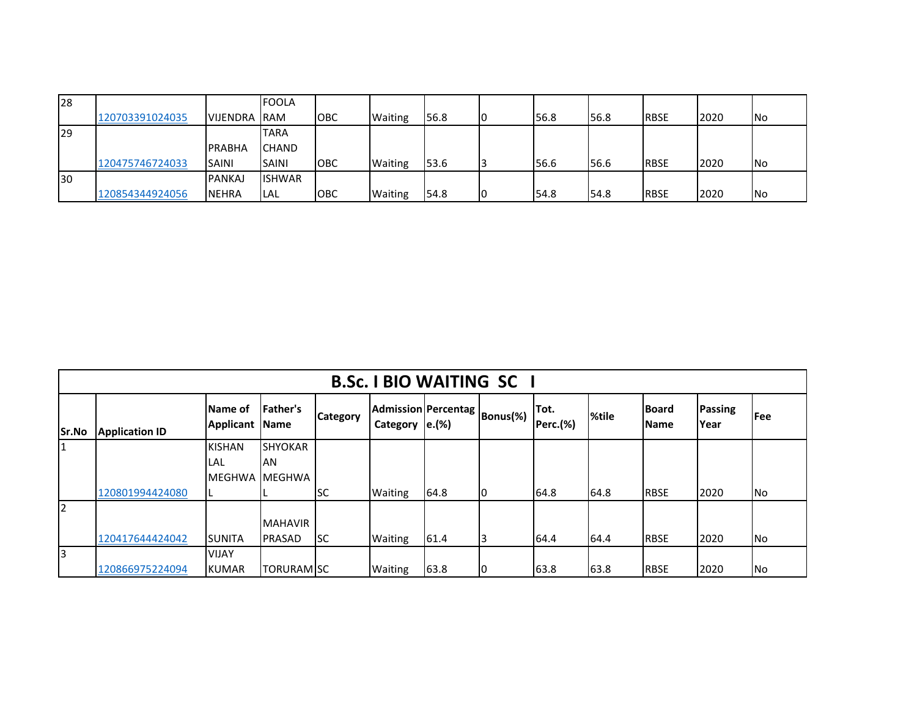| 28  |                 |                 | <b>FOOLA</b>  |            |                |      |      |             |             |      |           |
|-----|-----------------|-----------------|---------------|------------|----------------|------|------|-------------|-------------|------|-----------|
|     | 120703391024035 | <b>VIJENDRA</b> | <b>RAM</b>    | ІОВС       | <b>Waiting</b> | 56.8 | 56.8 | <b>56.8</b> | <b>RBSE</b> | 2020 | <b>No</b> |
| 29  |                 |                 | <b>TARA</b>   |            |                |      |      |             |             |      |           |
|     |                 | PRABHA          | <b>CHAND</b>  |            |                |      |      |             |             |      |           |
|     | 120475746724033 | <b>ISAINI</b>   | <b>SAINI</b>  | ІОВС       | <b>Waiting</b> | 53.6 | 56.6 | 56.6        | <b>RBSE</b> | 2020 | <b>No</b> |
| 130 |                 | <b>PANKAJ</b>   | <b>ISHWAR</b> |            |                |      |      |             |             |      |           |
|     | 120854344924056 | <b>INEHRA</b>   | LAL           | <b>OBC</b> | <b>Waiting</b> | 54.8 | 54.8 | I54.8       | <b>RBSE</b> | 2020 | <b>No</b> |

|              | <b>B.Sc. I BIO WAITING SC</b> |                      |                         |                 |                                                       |      |    |                         |       |                             |                        |            |  |
|--------------|-------------------------------|----------------------|-------------------------|-----------------|-------------------------------------------------------|------|----|-------------------------|-------|-----------------------------|------------------------|------------|--|
| <b>Sr.No</b> | <b>Application ID</b>         | Name of<br>Applicant | Father's<br><b>Name</b> | <b>Category</b> | Admission Percentag   Bonus(%)  <br>Category $ e.(%)$ |      |    | Tot.<br><b>Perc.(%)</b> | %tile | <b>Board</b><br><b>Name</b> | Passing<br><b>Year</b> | <b>Fee</b> |  |
| 1            |                               | <b>KISHAN</b>        | <b>SHYOKAR</b>          |                 |                                                       |      |    |                         |       |                             |                        |            |  |
|              |                               | LAL                  | AN                      |                 |                                                       |      |    |                         |       |                             |                        |            |  |
|              |                               | <b>MEGHWA</b>        | <b>MEGHWA</b>           |                 |                                                       |      |    |                         |       |                             |                        |            |  |
|              | 120801994424080               |                      |                         | <b>SC</b>       | Waiting                                               | 64.8 | 10 | 64.8                    | 64.8  | <b>RBSE</b>                 | 2020                   | No         |  |
| I2           |                               |                      |                         |                 |                                                       |      |    |                         |       |                             |                        |            |  |
|              |                               |                      | <b>MAHAVIR</b>          |                 |                                                       |      |    |                         |       |                             |                        |            |  |
|              | 120417644424042               | <b>SUNITA</b>        | <b>PRASAD</b>           | lsc             | Waiting                                               | 61.4 | 3  | 64.4                    | 64.4  | <b>RBSE</b>                 | 2020                   | No         |  |
| 13           |                               | <b>VIJAY</b>         |                         |                 |                                                       |      |    |                         |       |                             |                        |            |  |
|              | 120866975224094               | <b>KUMAR</b>         | <b>TORURAMISC</b>       |                 | <b>Waiting</b>                                        | 63.8 | 10 | 63.8                    | 63.8  | <b>RBSE</b>                 | 2020                   | <b>No</b>  |  |